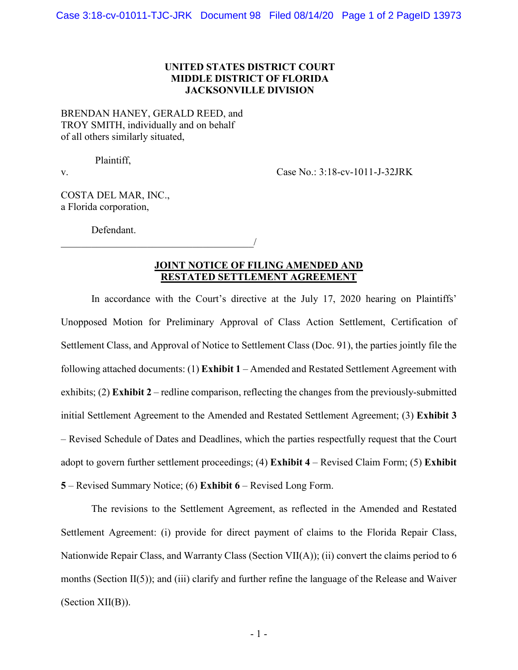# **UNITED STATES DISTRICT COURT MIDDLE DISTRICT OF FLORIDA JACKSONVILLE DIVISION**

BRENDAN HANEY, GERALD REED, and TROY SMITH, individually and on behalf of all others similarly situated,

Plaintiff,

v. Case No.: 3:18-cv-1011-J-32JRK

COSTA DEL MAR, INC., a Florida corporation,

Defendant.

 $\overline{\phantom{a}}$ 

# **JOINT NOTICE OF FILING AMENDED AND RESTATED SETTLEMENT AGREEMENT**

In accordance with the Court's directive at the July 17, 2020 hearing on Plaintiffs' Unopposed Motion for Preliminary Approval of Class Action Settlement, Certification of Settlement Class, and Approval of Notice to Settlement Class (Doc. 91), the parties jointly file the following attached documents: (1) **Exhibit 1** – Amended and Restated Settlement Agreement with exhibits; (2) **Exhibit 2** – redline comparison, reflecting the changes from the previously-submitted initial Settlement Agreement to the Amended and Restated Settlement Agreement; (3) **Exhibit 3** – Revised Schedule of Dates and Deadlines, which the parties respectfully request that the Court adopt to govern further settlement proceedings; (4) **Exhibit 4** – Revised Claim Form; (5) **Exhibit 5** – Revised Summary Notice; (6) **Exhibit 6** – Revised Long Form.

The revisions to the Settlement Agreement, as reflected in the Amended and Restated Settlement Agreement: (i) provide for direct payment of claims to the Florida Repair Class, Nationwide Repair Class, and Warranty Class (Section VII(A)); (ii) convert the claims period to 6 months (Section II(5)); and (iii) clarify and further refine the language of the Release and Waiver (Section XII(B)).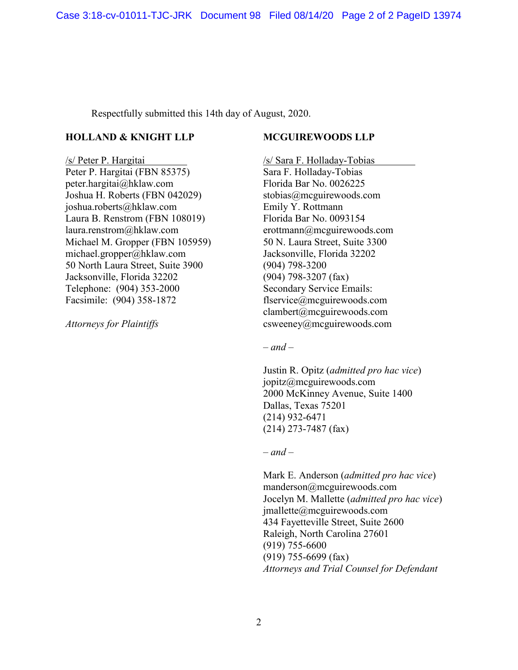Respectfully submitted this 14th day of August, 2020.

# **HOLLAND & KNIGHT LLP**

/s/ Peter P. Hargitai Peter P. Hargitai (FBN 85375) peter.hargitai@hklaw.com Joshua H. Roberts (FBN 042029) joshua.roberts@hklaw.com Laura B. Renstrom (FBN 108019) laura.renstrom@hklaw.com Michael M. Gropper (FBN 105959) michael.gropper@hklaw.com 50 North Laura Street, Suite 3900 Jacksonville, Florida 32202 Telephone: (904) 353-2000 Facsimile: (904) 358-1872

*Attorneys for Plaintiffs*

# **MCGUIREWOODS LLP**

/s/ Sara F. Holladay-Tobias Sara F. Holladay-Tobias Florida Bar No. 0026225 stobias@mcguirewoods.com Emily Y. Rottmann Florida Bar No. 0093154 erottmann@mcguirewoods.com 50 N. Laura Street, Suite 3300 Jacksonville, Florida 32202 (904) 798-3200 (904) 798-3207 (fax) Secondary Service Emails: flservice@mcguirewoods.com clambert@mcguirewoods.com csweeney@mcguirewoods.com

*– and –*

Justin R. Opitz (*admitted pro hac vice*) jopitz@mcguirewoods.com 2000 McKinney Avenue, Suite 1400 Dallas, Texas 75201 (214) 932-6471 (214) 273-7487 (fax)

*– and –*

Mark E. Anderson (*admitted pro hac vice*) manderson@mcguirewoods.com Jocelyn M. Mallette (*admitted pro hac vice*) jmallette@mcguirewoods.com 434 Fayetteville Street, Suite 2600 Raleigh, North Carolina 27601 (919) 755-6600 (919) 755-6699 (fax) *Attorneys and Trial Counsel for Defendant*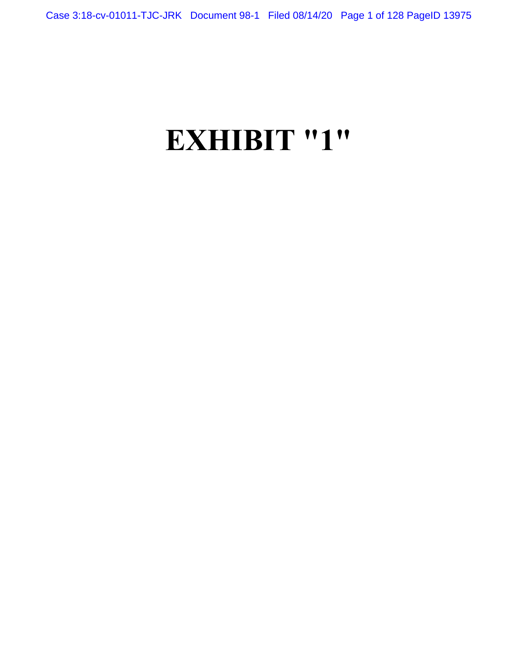# **(;+,%,7**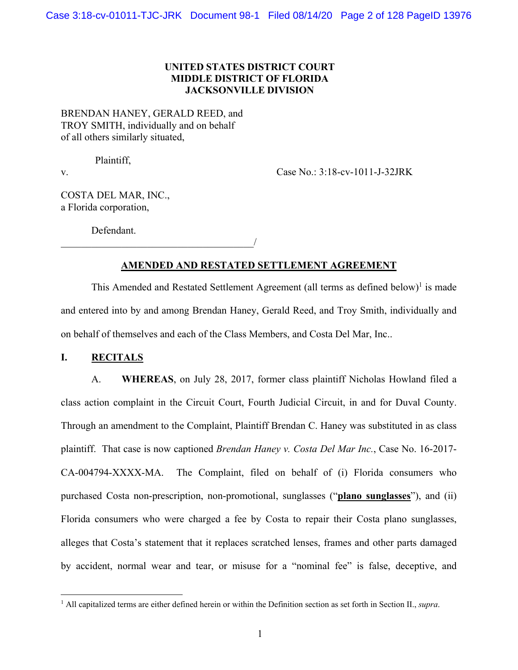# UNITED STATES DISTRICT COURT **MIDDLE DISTRICT OF FLORIDA JACKSONVILLE DIVISION**

BRENDAN HANEY, GERALD REED, and TROY SMITH, individually and on behalf of all others similarly situated,

Plaintiff,

 $V_{\star}$ 

Case No.: 3:18-cv-1011-J-32JRK

COSTA DEL MAR, INC., a Florida corporation,

Defendant.

# AMENDED AND RESTATED SETTLEMENT AGREEMENT

This Amended and Restated Settlement Agreement (all terms as defined below)<sup>1</sup> is made and entered into by and among Brendan Haney, Gerald Reed, and Troy Smith, individually and on behalf of themselves and each of the Class Members, and Costa Del Mar, Inc...

## L. **RECITALS**

WHEREAS, on July 28, 2017, former class plaintiff Nicholas Howland filed a A. class action complaint in the Circuit Court, Fourth Judicial Circuit, in and for Duval County. Through an amendment to the Complaint, Plaintiff Brendan C. Haney was substituted in as class plaintiff. That case is now captioned Brendan Haney v. Costa Del Mar Inc., Case No. 16-2017-CA-004794-XXXX-MA. The Complaint, filed on behalf of (i) Florida consumers who purchased Costa non-prescription, non-promotional, sunglasses ("plano sunglasses"), and (ii) Florida consumers who were charged a fee by Costa to repair their Costa plano sunglasses, alleges that Costa's statement that it replaces scratched lenses, frames and other parts damaged by accident, normal wear and tear, or misuse for a "nominal fee" is false, deceptive, and

<sup>&</sup>lt;sup>1</sup> All capitalized terms are either defined herein or within the Definition section as set forth in Section II., supra.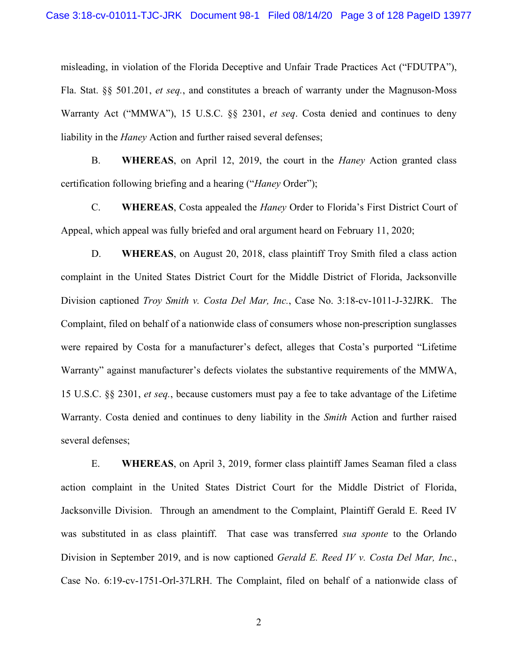misleading, in violation of the Florida Deceptive and Unfair Trade Practices Act ("FDUTPA"), Fla. Stat. §§ 501.201, et seq., and constitutes a breach of warranty under the Magnuson-Moss Warranty Act ("MMWA"), 15 U.S.C. §§ 2301, et seq. Costa denied and continues to deny liability in the *Haney* Action and further raised several defenses;

**B. WHEREAS**, on April 12, 2019, the court in the *Haney* Action granted class certification following briefing and a hearing ("*Haney Order*");

 $C_{\cdot}$ **WHEREAS, Costa appealed the Haney Order to Florida's First District Court of** Appeal, which appeal was fully briefed and oral argument heard on February 11, 2020;

D. **WHEREAS**, on August 20, 2018, class plaintiff Troy Smith filed a class action complaint in the United States District Court for the Middle District of Florida, Jacksonville Division captioned Troy Smith v. Costa Del Mar, Inc., Case No. 3:18-cv-1011-J-32JRK. The Complaint, filed on behalf of a nationwide class of consumers whose non-prescription sunglasses were repaired by Costa for a manufacturer's defect, alleges that Costa's purported "Lifetime" Warranty" against manufacturer's defects violates the substantive requirements of the MMWA, 15 U.S.C. §§ 2301, *et seq.*, because customers must pay a fee to take advantage of the Lifetime Warranty. Costa denied and continues to deny liability in the Smith Action and further raised several defenses;

E. WHEREAS, on April 3, 2019, former class plaintiff James Seaman filed a class action complaint in the United States District Court for the Middle District of Florida, Jacksonville Division. Through an amendment to the Complaint, Plaintiff Gerald E. Reed IV was substituted in as class plaintiff. That case was transferred sua sponte to the Orlando Division in September 2019, and is now captioned Gerald E. Reed IV v. Costa Del Mar, Inc., Case No. 6:19-cv-1751-Orl-37LRH. The Complaint, filed on behalf of a nationwide class of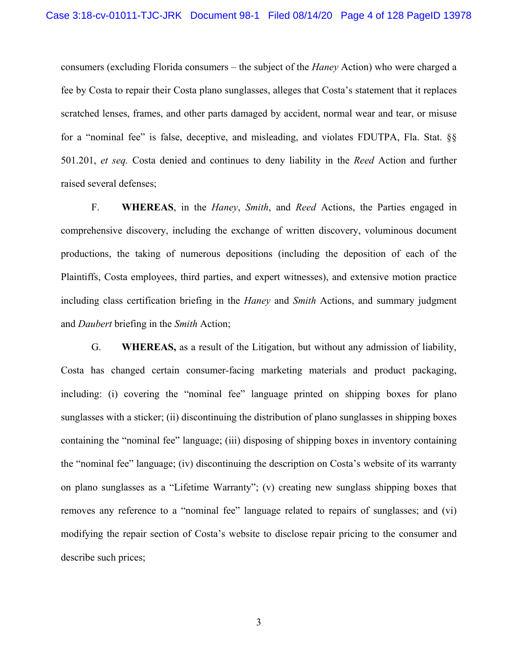consumers (excluding Florida consumers – the subject of the *Haney* Action) who were charged a fee by Costa to repair their Costa plano sunglasses, alleges that Costa's statement that it replaces scratched lenses, frames, and other parts damaged by accident, normal wear and tear, or misuse for a "nominal fee" is false, deceptive, and misleading, and violates FDUTPA, Fla. Stat. §§ 501.201, et seq. Costa denied and continues to deny liability in the Reed Action and further raised several defenses;

**WHEREAS**, in the *Haney*, *Smith*, and *Reed* Actions, the Parties engaged in F. comprehensive discovery, including the exchange of written discovery, voluminous document productions, the taking of numerous depositions (including the deposition of each of the Plaintiffs, Costa employees, third parties, and expert witnesses), and extensive motion practice including class certification briefing in the *Haney* and *Smith* Actions, and summary judgment and *Daubert* briefing in the *Smith* Action;

G. **WHEREAS**, as a result of the Litigation, but without any admission of liability, Costa has changed certain consumer-facing marketing materials and product packaging, including: (i) covering the "nominal fee" language printed on shipping boxes for plano sunglasses with a sticker; (ii) discontinuing the distribution of plano sunglasses in shipping boxes containing the "nominal fee" language; (iii) disposing of shipping boxes in inventory containing the "nominal fee" language; (iv) discontinuing the description on Costa's website of its warranty on plano sunglasses as a "Lifetime Warranty"; (v) creating new sunglass shipping boxes that removes any reference to a "nominal fee" language related to repairs of sunglasses; and (vi) modifying the repair section of Costa's website to disclose repair pricing to the consumer and describe such prices;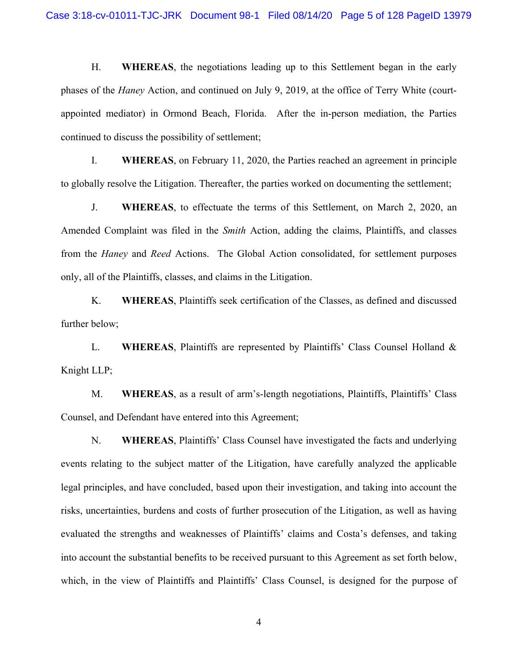H. **WHEREAS**, the negotiations leading up to this Settlement began in the early phases of the *Haney* Action, and continued on July 9, 2019, at the office of Terry White (courtappointed mediator) in Ormond Beach, Florida. After the in-person mediation, the Parties continued to discuss the possibility of settlement;

I. **WHEREAS,** on February 11, 2020, the Parties reached an agreement in principle to globally resolve the Litigation. Thereafter, the parties worked on documenting the settlement;

J. WHEREAS, to effectuate the terms of this Settlement, on March 2, 2020, an Amended Complaint was filed in the Smith Action, adding the claims, Plaintiffs, and classes from the *Haney* and *Reed* Actions. The Global Action consolidated, for settlement purposes only, all of the Plaintiffs, classes, and claims in the Litigation.

K. **WHEREAS**, Plaintiffs seek certification of the Classes, as defined and discussed further below;

L. **WHEREAS**, Plaintiffs are represented by Plaintiffs' Class Counsel Holland  $\&$ Knight LLP;

M. **WHEREAS**, as a result of arm's-length negotiations, Plaintiffs, Plaintiffs' Class Counsel, and Defendant have entered into this Agreement;

N. **WHEREAS, Plaintiffs' Class Counsel have investigated the facts and underlying** events relating to the subject matter of the Litigation, have carefully analyzed the applicable legal principles, and have concluded, based upon their investigation, and taking into account the risks, uncertainties, burdens and costs of further prosecution of the Litigation, as well as having evaluated the strengths and weaknesses of Plaintiffs' claims and Costa's defenses, and taking into account the substantial benefits to be received pursuant to this Agreement as set forth below, which, in the view of Plaintiffs and Plaintiffs' Class Counsel, is designed for the purpose of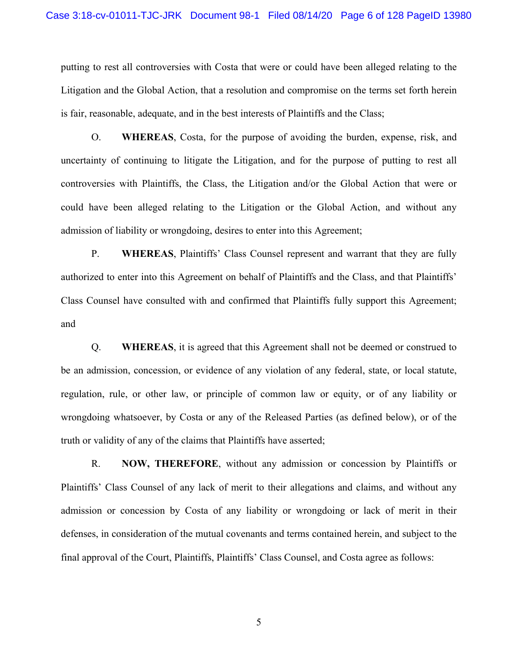putting to rest all controversies with Costa that were or could have been alleged relating to the Litigation and the Global Action, that a resolution and compromise on the terms set forth herein is fair, reasonable, adequate, and in the best interests of Plaintiffs and the Class;

O. WHEREAS, Costa, for the purpose of avoiding the burden, expense, risk, and uncertainty of continuing to litigate the Litigation, and for the purpose of putting to rest all controversies with Plaintiffs, the Class, the Litigation and/or the Global Action that were or could have been alleged relating to the Litigation or the Global Action, and without any admission of liability or wrongdoing, desires to enter into this Agreement;

P. **WHEREAS**, Plaintiffs' Class Counsel represent and warrant that they are fully authorized to enter into this Agreement on behalf of Plaintiffs and the Class, and that Plaintiffs' Class Counsel have consulted with and confirmed that Plaintiffs fully support this Agreement; and

Q. **WHEREAS**, it is agreed that this Agreement shall not be deemed or construed to be an admission, concession, or evidence of any violation of any federal, state, or local statute, regulation, rule, or other law, or principle of common law or equity, or of any liability or wrongdoing whatsoever, by Costa or any of the Released Parties (as defined below), or of the truth or validity of any of the claims that Plaintiffs have asserted;

R. NOW, THEREFORE, without any admission or concession by Plaintiffs or Plaintiffs' Class Counsel of any lack of merit to their allegations and claims, and without any admission or concession by Costa of any liability or wrongdoing or lack of merit in their defenses, in consideration of the mutual covenants and terms contained herein, and subject to the final approval of the Court, Plaintiffs, Plaintiffs' Class Counsel, and Costa agree as follows: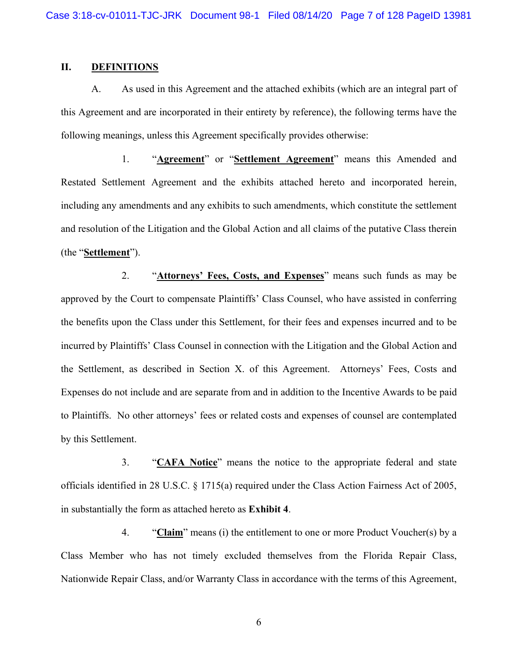### II. **DEFINITIONS**

A. As used in this Agreement and the attached exhibits (which are an integral part of this Agreement and are incorporated in their entirety by reference), the following terms have the following meanings, unless this Agreement specifically provides otherwise:

1. "Agreement" or "Settlement Agreement" means this Amended and Restated Settlement Agreement and the exhibits attached hereto and incorporated herein, including any amendments and any exhibits to such amendments, which constitute the settlement and resolution of the Litigation and the Global Action and all claims of the putative Class therein (the "Settlement").

"Attorneys' Fees, Costs, and Expenses" means such funds as may be 2. approved by the Court to compensate Plaintiffs' Class Counsel, who have assisted in conferring the benefits upon the Class under this Settlement, for their fees and expenses incurred and to be incurred by Plaintiffs' Class Counsel in connection with the Litigation and the Global Action and the Settlement, as described in Section X. of this Agreement. Attorneys' Fees, Costs and Expenses do not include and are separate from and in addition to the Incentive Awards to be paid to Plaintiffs. No other attorneys' fees or related costs and expenses of counsel are contemplated by this Settlement.

 $\overline{3}$ . "CAFA Notice" means the notice to the appropriate federal and state officials identified in 28 U.S.C.  $\S$  1715(a) required under the Class Action Fairness Act of 2005, in substantially the form as attached hereto as **Exhibit 4**.

 $\overline{4}$ "Claim" means (i) the entitlement to one or more Product Voucher(s) by a Class Member who has not timely excluded themselves from the Florida Repair Class, Nationwide Repair Class, and/or Warranty Class in accordance with the terms of this Agreement,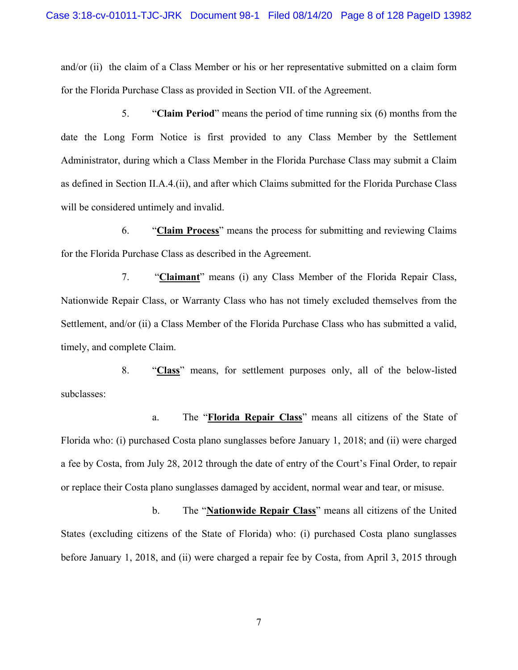and/or (ii) the claim of a Class Member or his or her representative submitted on a claim form for the Florida Purchase Class as provided in Section VII. of the Agreement.

 $5<sub>1</sub>$ "Claim Period" means the period of time running six (6) months from the date the Long Form Notice is first provided to any Class Member by the Settlement Administrator, during which a Class Member in the Florida Purchase Class may submit a Claim as defined in Section II.A.4.(ii), and after which Claims submitted for the Florida Purchase Class will be considered untimely and invalid.

6. "Claim Process" means the process for submitting and reviewing Claims for the Florida Purchase Class as described in the Agreement.

7. "Claimant" means (i) any Class Member of the Florida Repair Class, Nationwide Repair Class, or Warranty Class who has not timely excluded themselves from the Settlement, and/or (ii) a Class Member of the Florida Purchase Class who has submitted a valid, timely, and complete Claim.

"Class" means, for settlement purposes only, all of the below-listed 8. subclasses:

The "Florida Repair Class" means all citizens of the State of a. Florida who: (i) purchased Costa plano sunglasses before January 1, 2018; and (ii) were charged a fee by Costa, from July 28, 2012 through the date of entry of the Court's Final Order, to repair or replace their Costa plano sunglasses damaged by accident, normal wear and tear, or misuse.

 $\mathbf{b}$ . The "Nationwide Repair Class" means all citizens of the United States (excluding citizens of the State of Florida) who: (i) purchased Costa plano sunglasses before January 1, 2018, and (ii) were charged a repair fee by Costa, from April 3, 2015 through

 $\tau$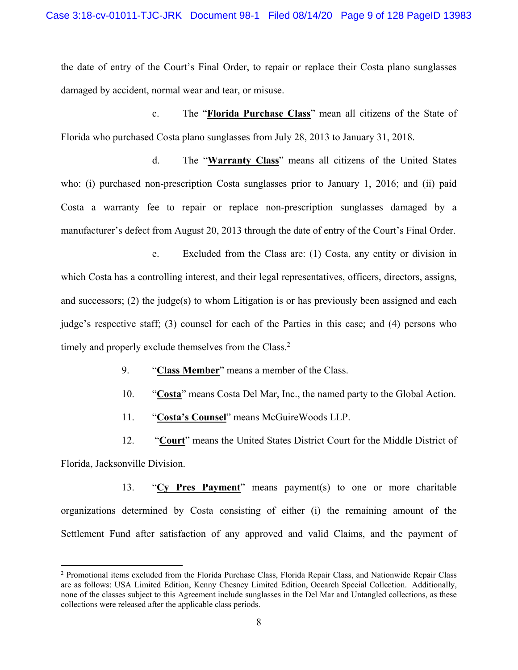the date of entry of the Court's Final Order, to repair or replace their Costa plano sunglasses damaged by accident, normal wear and tear, or misuse.

The "Florida Purchase Class" mean all citizens of the State of  $\mathbf{c}$ . Florida who purchased Costa plano sunglasses from July 28, 2013 to January 31, 2018.

The "Warranty Class" means all citizens of the United States d. who: (i) purchased non-prescription Costa sunglasses prior to January 1, 2016; and (ii) paid Costa a warranty fee to repair or replace non-prescription sunglasses damaged by a manufacturer's defect from August 20, 2013 through the date of entry of the Court's Final Order.

Excluded from the Class are: (1) Costa, any entity or division in e. which Costa has a controlling interest, and their legal representatives, officers, directors, assigns, and successors; (2) the judge(s) to whom Litigation is or has previously been assigned and each judge's respective staff; (3) counsel for each of the Parties in this case; and (4) persons who timely and properly exclude themselves from the Class.<sup>2</sup>

- 9. "Class Member" means a member of the Class.
- 10. "Costa" means Costa Del Mar, Inc., the named party to the Global Action.
- 11. "Costa's Counsel" means McGuire Woods LLP.

12. "Court" means the United States District Court for the Middle District of Florida, Jacksonville Division.

"Cy Pres Payment" means payment(s) to one or more charitable 13. organizations determined by Costa consisting of either (i) the remaining amount of the Settlement Fund after satisfaction of any approved and valid Claims, and the payment of

<sup>&</sup>lt;sup>2</sup> Promotional items excluded from the Florida Purchase Class, Florida Repair Class, and Nationwide Repair Class are as follows: USA Limited Edition, Kenny Chesney Limited Edition, Ocearch Special Collection. Additionally, none of the classes subject to this Agreement include sunglasses in the Del Mar and Untangled collections, as these collections were released after the applicable class periods.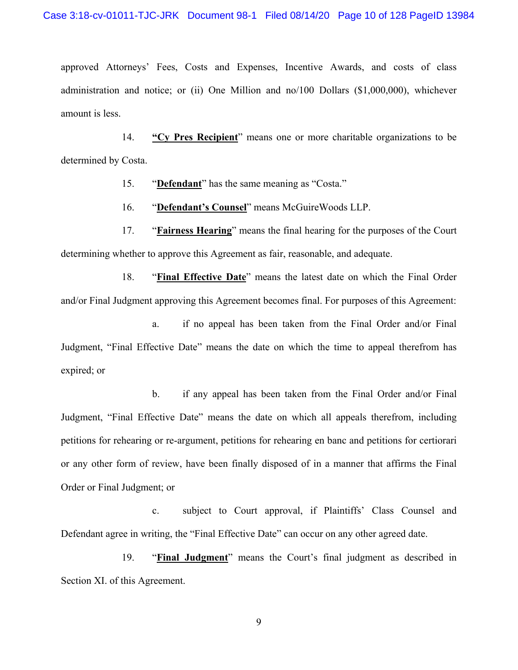approved Attorneys' Fees, Costs and Expenses, Incentive Awards, and costs of class administration and notice; or (ii) One Million and  $\pi$ o/100 Dollars (\$1,000,000), whichever amount is less.

 $14.$ "Cy Pres Recipient" means one or more charitable organizations to be determined by Costa.

> $15.$ "Defendant" has the same meaning as "Costa."

"Defendant's Counsel" means McGuireWoods LLP. 16.

17. "Fairness Hearing" means the final hearing for the purposes of the Court determining whether to approve this Agreement as fair, reasonable, and adequate.

18. "Final Effective Date" means the latest date on which the Final Order and/or Final Judgment approving this Agreement becomes final. For purposes of this Agreement:

if no appeal has been taken from the Final Order and/or Final a. Judgment, "Final Effective Date" means the date on which the time to appeal therefrom has expired; or

 $\mathbf{b}$ . if any appeal has been taken from the Final Order and/or Final Judgment, "Final Effective Date" means the date on which all appeals therefrom, including petitions for rehearing or re-argument, petitions for rehearing en banc and petitions for certiorari or any other form of review, have been finally disposed of in a manner that affirms the Final Order or Final Judgment; or

 $\mathbf{c}$ . subject to Court approval, if Plaintiffs' Class Counsel and Defendant agree in writing, the "Final Effective Date" can occur on any other agreed date.

19. "Final Judgment" means the Court's final judgment as described in Section XI. of this Agreement.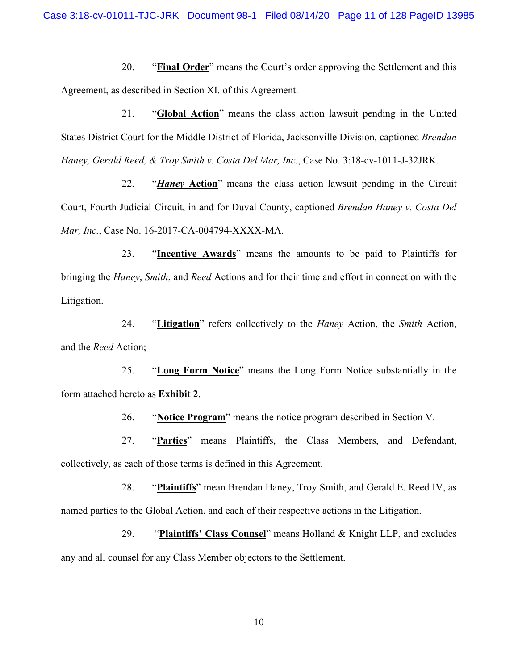20. "Final Order" means the Court's order approving the Settlement and this Agreement, as described in Section XI. of this Agreement.

 $21.$ "Global Action" means the class action lawsuit pending in the United States District Court for the Middle District of Florida, Jacksonville Division, captioned Brendan Haney, Gerald Reed, & Troy Smith v. Costa Del Mar, Inc., Case No. 3:18-cv-1011-J-32JRK.

"Haney Action" means the class action lawsuit pending in the Circuit 22. Court, Fourth Judicial Circuit, in and for Duval County, captioned Brendan Haney v. Costa Del Mar, Inc., Case No. 16-2017-CA-004794-XXXX-MA.

23. "Incentive Awards" means the amounts to be paid to Plaintiffs for bringing the *Haney*, *Smith*, and *Reed* Actions and for their time and effort in connection with the Litigation.

"Litigation" refers collectively to the *Haney* Action, the *Smith* Action, 24. and the *Reed* Action;

25. "Long Form Notice" means the Long Form Notice substantially in the form attached hereto as Exhibit 2.

> 26. "Notice Program" means the notice program described in Section V.

27. "Parties" means Plaintiffs, the Class Members, and Defendant, collectively, as each of those terms is defined in this Agreement.

28. "Plaintiffs" mean Brendan Haney, Troy Smith, and Gerald E. Reed IV, as named parties to the Global Action, and each of their respective actions in the Litigation.

29. "Plaintiffs' Class Counsel" means Holland & Knight LLP, and excludes any and all counsel for any Class Member objectors to the Settlement.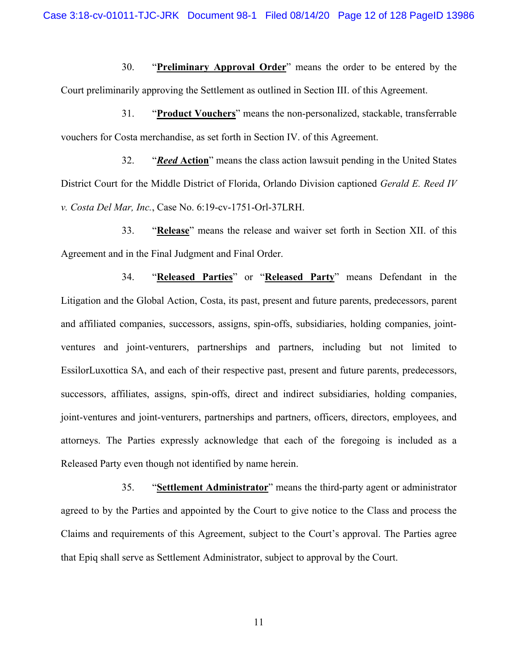$30.$ "Preliminary Approval Order" means the order to be entered by the Court preliminarily approving the Settlement as outlined in Section III. of this Agreement.

 $31.$ "Product Vouchers" means the non-personalized, stackable, transferrable vouchers for Costa merchandise, as set forth in Section IV. of this Agreement.

32. "Reed Action" means the class action lawsuit pending in the United States District Court for the Middle District of Florida, Orlando Division captioned Gerald E. Reed IV v. Costa Del Mar, Inc., Case No. 6:19-cv-1751-Orl-37LRH.

 $33<sub>1</sub>$ "Release" means the release and waiver set forth in Section XII. of this Agreement and in the Final Judgment and Final Order.

34. "Released Parties" or "Released Party" means Defendant in the Litigation and the Global Action, Costa, its past, present and future parents, predecessors, parent and affiliated companies, successors, assigns, spin-offs, subsidiaries, holding companies, jointventures and joint-venturers, partnerships and partners, including but not limited to EssilorLuxottica SA, and each of their respective past, present and future parents, predecessors, successors, affiliates, assigns, spin-offs, direct and indirect subsidiaries, holding companies, joint-ventures and joint-venturers, partnerships and partners, officers, directors, employees, and attorneys. The Parties expressly acknowledge that each of the foregoing is included as a Released Party even though not identified by name herein.

"Settlement Administrator" means the third-party agent or administrator 35. agreed to by the Parties and appointed by the Court to give notice to the Class and process the Claims and requirements of this Agreement, subject to the Court's approval. The Parties agree that Epiq shall serve as Settlement Administrator, subject to approval by the Court.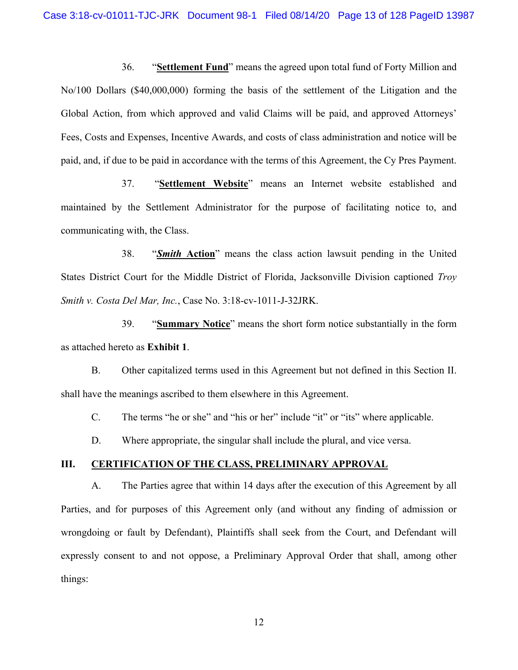36. "Settlement Fund" means the agreed upon total fund of Forty Million and No/100 Dollars (\$40,000,000) forming the basis of the settlement of the Litigation and the Global Action, from which approved and valid Claims will be paid, and approved Attorneys' Fees, Costs and Expenses, Incentive Awards, and costs of class administration and notice will be paid, and, if due to be paid in accordance with the terms of this Agreement, the Cy Pres Payment.

"Settlement Website" means an Internet website established and 37. maintained by the Settlement Administrator for the purpose of facilitating notice to, and communicating with, the Class.

"Smith Action" means the class action lawsuit pending in the United 38. States District Court for the Middle District of Florida, Jacksonville Division captioned Trov Smith v. Costa Del Mar, Inc., Case No. 3:18-cv-1011-J-32JRK.

39. "Summary Notice" means the short form notice substantially in the form as attached hereto as Exhibit 1.

**B.** Other capitalized terms used in this Agreement but not defined in this Section II. shall have the meanings ascribed to them elsewhere in this Agreement.

 $C_{\cdot}$ The terms "he or she" and "his or her" include "it" or "its" where applicable.

D. Where appropriate, the singular shall include the plural, and vice versa.

## Ш. **CERTIFICATION OF THE CLASS, PRELIMINARY APPROVAL**

A. The Parties agree that within 14 days after the execution of this Agreement by all Parties, and for purposes of this Agreement only (and without any finding of admission or wrongdoing or fault by Defendant), Plaintiffs shall seek from the Court, and Defendant will expressly consent to and not oppose, a Preliminary Approval Order that shall, among other things: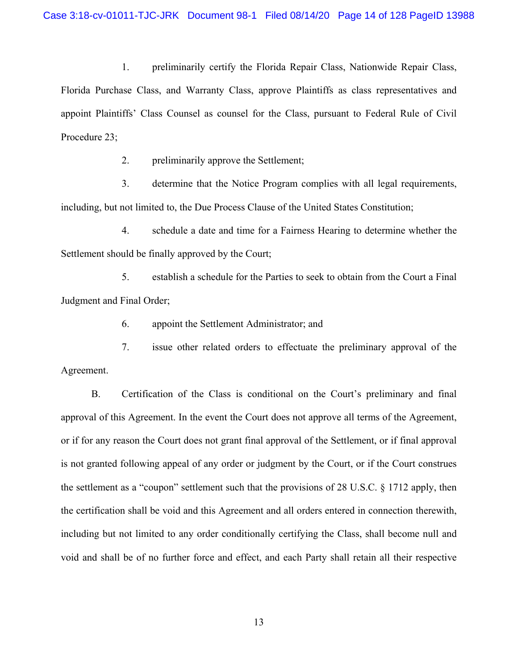$1<sub>1</sub>$ preliminarily certify the Florida Repair Class, Nationwide Repair Class, Florida Purchase Class, and Warranty Class, approve Plaintiffs as class representatives and appoint Plaintiffs' Class Counsel as counsel for the Class, pursuant to Federal Rule of Civil Procedure 23;

> $2.$ preliminarily approve the Settlement;

 $3.$ determine that the Notice Program complies with all legal requirements, including, but not limited to, the Due Process Clause of the United States Constitution;

 $\overline{4}$ schedule a date and time for a Fairness Hearing to determine whether the Settlement should be finally approved by the Court;

5. establish a schedule for the Parties to seek to obtain from the Court a Final Judgment and Final Order;

> 6. appoint the Settlement Administrator; and

 $7.$ issue other related orders to effectuate the preliminary approval of the Agreement.

**B.** Certification of the Class is conditional on the Court's preliminary and final approval of this Agreement. In the event the Court does not approve all terms of the Agreement, or if for any reason the Court does not grant final approval of the Settlement, or if final approval is not granted following appeal of any order or judgment by the Court, or if the Court construes the settlement as a "coupon" settlement such that the provisions of 28 U.S.C.  $\S 1712$  apply, then the certification shall be void and this Agreement and all orders entered in connection therewith, including but not limited to any order conditionally certifying the Class, shall become null and void and shall be of no further force and effect, and each Party shall retain all their respective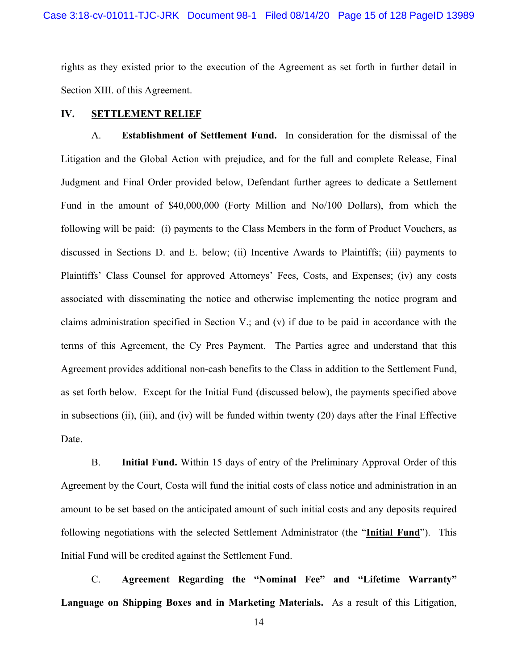rights as they existed prior to the execution of the Agreement as set forth in further detail in Section XIII. of this Agreement.

### IV. **SETTLEMENT RELIEF**

Establishment of Settlement Fund. In consideration for the dismissal of the A. Litigation and the Global Action with prejudice, and for the full and complete Release, Final Judgment and Final Order provided below, Defendant further agrees to dedicate a Settlement Fund in the amount of \$40,000,000 (Forty Million and No/100 Dollars), from which the following will be paid: (i) payments to the Class Members in the form of Product Vouchers, as discussed in Sections D. and E. below; (ii) Incentive Awards to Plaintiffs; (iii) payments to Plaintiffs' Class Counsel for approved Attorneys' Fees, Costs, and Expenses; (iv) any costs associated with disseminating the notice and otherwise implementing the notice program and claims administration specified in Section V.; and (v) if due to be paid in accordance with the terms of this Agreement, the Cy Pres Payment. The Parties agree and understand that this Agreement provides additional non-cash benefits to the Class in addition to the Settlement Fund, as set forth below. Except for the Initial Fund (discussed below), the payments specified above in subsections (ii), (iii), and (iv) will be funded within twenty (20) days after the Final Effective Date.

 $B<sub>r</sub>$ Initial Fund. Within 15 days of entry of the Preliminary Approval Order of this Agreement by the Court, Costa will fund the initial costs of class notice and administration in an amount to be set based on the anticipated amount of such initial costs and any deposits required following negotiations with the selected Settlement Administrator (the "Initial Fund"). This Initial Fund will be credited against the Settlement Fund.

 $C_{\cdot}$ Agreement Regarding the "Nominal Fee" and "Lifetime Warranty" Language on Shipping Boxes and in Marketing Materials. As a result of this Litigation,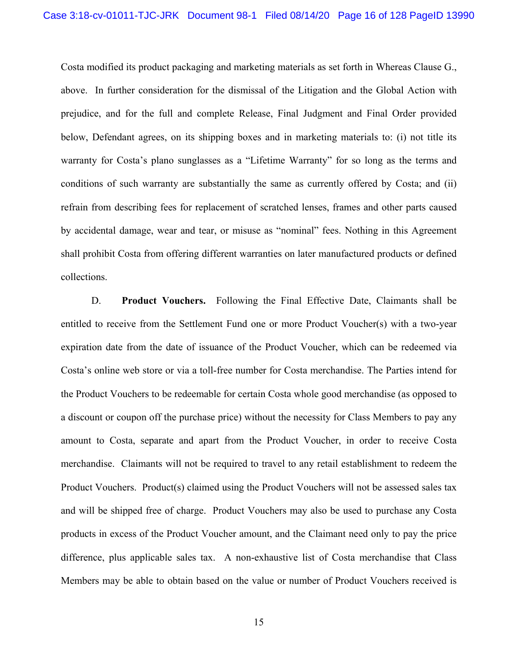Costa modified its product packaging and marketing materials as set forth in Whereas Clause G., above. In further consideration for the dismissal of the Litigation and the Global Action with prejudice, and for the full and complete Release, Final Judgment and Final Order provided below, Defendant agrees, on its shipping boxes and in marketing materials to: (i) not title its warranty for Costa's plano sunglasses as a "Lifetime Warranty" for so long as the terms and conditions of such warranty are substantially the same as currently offered by Costa; and (ii) refrain from describing fees for replacement of scratched lenses, frames and other parts caused by accidental damage, wear and tear, or misuse as "nominal" fees. Nothing in this Agreement shall prohibit Costa from offering different warranties on later manufactured products or defined collections.

D. Product Vouchers. Following the Final Effective Date, Claimants shall be entitled to receive from the Settlement Fund one or more Product Voucher(s) with a two-year expiration date from the date of issuance of the Product Voucher, which can be redeemed via Costa's online web store or via a toll-free number for Costa merchandise. The Parties intend for the Product Vouchers to be redeemable for certain Costa whole good merchandise (as opposed to a discount or coupon off the purchase price) without the necessity for Class Members to pay any amount to Costa, separate and apart from the Product Voucher, in order to receive Costa merchandise. Claimants will not be required to travel to any retail establishment to redeem the Product Vouchers. Product(s) claimed using the Product Vouchers will not be assessed sales tax and will be shipped free of charge. Product Vouchers may also be used to purchase any Costa products in excess of the Product Voucher amount, and the Claimant need only to pay the price difference, plus applicable sales tax. A non-exhaustive list of Costa merchandise that Class Members may be able to obtain based on the value or number of Product Vouchers received is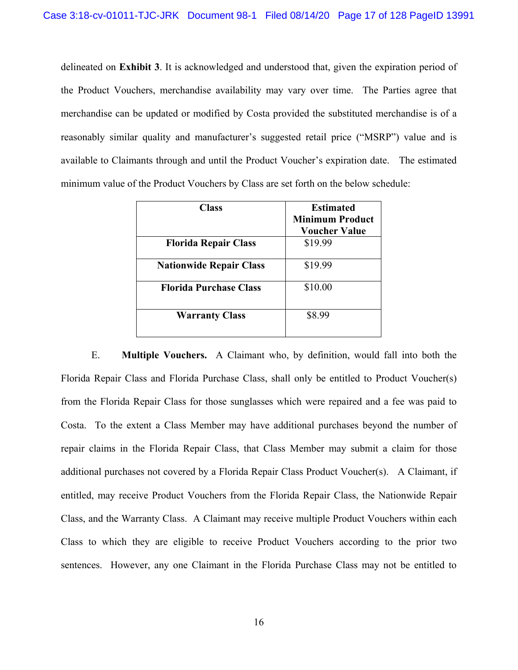delineated on **Exhibit 3**. It is acknowledged and understood that, given the expiration period of the Product Vouchers, merchandise availability may vary over time. The Parties agree that merchandise can be updated or modified by Costa provided the substituted merchandise is of a reasonably similar quality and manufacturer's suggested retail price ("MSRP") value and is available to Claimants through and until the Product Voucher's expiration date. The estimated minimum value of the Product Vouchers by Class are set forth on the below schedule:

| Class                          | <b>Estimated</b><br><b>Minimum Product</b><br><b>Voucher Value</b> |
|--------------------------------|--------------------------------------------------------------------|
| <b>Florida Repair Class</b>    | \$19.99                                                            |
| <b>Nationwide Repair Class</b> | \$19.99                                                            |
| <b>Florida Purchase Class</b>  | \$10.00                                                            |
| <b>Warranty Class</b>          | \$8.99                                                             |

E. **Multiple Vouchers.** A Claimant who, by definition, would fall into both the Florida Repair Class and Florida Purchase Class, shall only be entitled to Product Voucher(s) from the Florida Repair Class for those sunglasses which were repaired and a fee was paid to Costa. To the extent a Class Member may have additional purchases beyond the number of repair claims in the Florida Repair Class, that Class Member may submit a claim for those additional purchases not covered by a Florida Repair Class Product Voucher(s). A Claimant, if entitled, may receive Product Vouchers from the Florida Repair Class, the Nationwide Repair Class, and the Warranty Class. A Claimant may receive multiple Product Vouchers within each Class to which they are eligible to receive Product Vouchers according to the prior two sentences. However, any one Claimant in the Florida Purchase Class may not be entitled to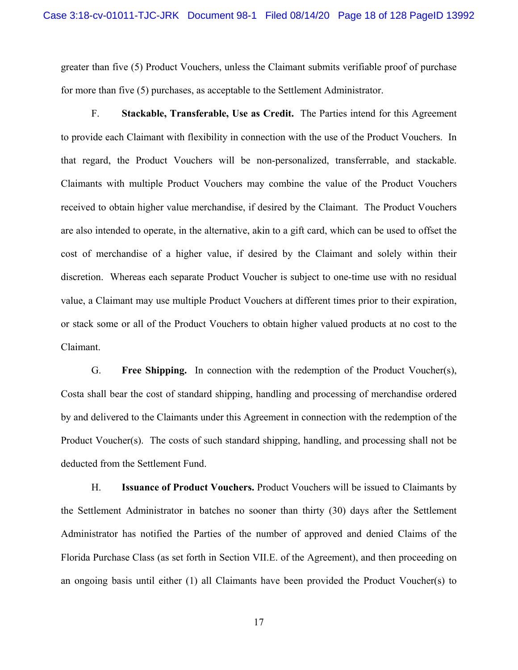greater than five (5) Product Vouchers, unless the Claimant submits verifiable proof of purchase for more than five (5) purchases, as acceptable to the Settlement Administrator.

F. Stackable, Transferable, Use as Credit. The Parties intend for this Agreement to provide each Claimant with flexibility in connection with the use of the Product Vouchers. In that regard, the Product Vouchers will be non-personalized, transferrable, and stackable. Claimants with multiple Product Vouchers may combine the value of the Product Vouchers received to obtain higher value merchandise, if desired by the Claimant. The Product Vouchers are also intended to operate, in the alternative, akin to a gift card, which can be used to offset the cost of merchandise of a higher value, if desired by the Claimant and solely within their discretion. Whereas each separate Product Voucher is subject to one-time use with no residual value, a Claimant may use multiple Product Vouchers at different times prior to their expiration, or stack some or all of the Product Vouchers to obtain higher valued products at no cost to the Claimant.

G. **Free Shipping.** In connection with the redemption of the Product Voucher(s), Costa shall bear the cost of standard shipping, handling and processing of merchandise ordered by and delivered to the Claimants under this Agreement in connection with the redemption of the Product Voucher(s). The costs of such standard shipping, handling, and processing shall not be deducted from the Settlement Fund.

H. **Issuance of Product Vouchers.** Product Vouchers will be issued to Claimants by the Settlement Administrator in batches no sooner than thirty (30) days after the Settlement Administrator has notified the Parties of the number of approved and denied Claims of the Florida Purchase Class (as set forth in Section VII.E. of the Agreement), and then proceeding on an ongoing basis until either (1) all Claimants have been provided the Product Voucher(s) to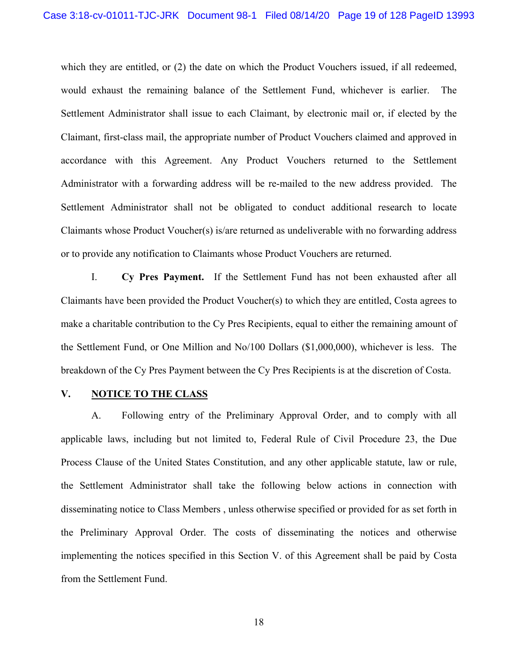which they are entitled, or (2) the date on which the Product Vouchers issued, if all redeemed, would exhaust the remaining balance of the Settlement Fund, whichever is earlier. The Settlement Administrator shall issue to each Claimant, by electronic mail or, if elected by the Claimant, first-class mail, the appropriate number of Product Vouchers claimed and approved in accordance with this Agreement. Any Product Vouchers returned to the Settlement Administrator with a forwarding address will be re-mailed to the new address provided. The Settlement Administrator shall not be obligated to conduct additional research to locate Claimants whose Product Voucher(s) is/are returned as undeliverable with no forwarding address or to provide any notification to Claimants whose Product Vouchers are returned.

I. Cy Pres Payment. If the Settlement Fund has not been exhausted after all Claimants have been provided the Product Voucher(s) to which they are entitled, Costa agrees to make a charitable contribution to the Cy Pres Recipients, equal to either the remaining amount of the Settlement Fund, or One Million and No/100 Dollars (\$1,000,000), whichever is less. The breakdown of the Cy Pres Payment between the Cy Pres Recipients is at the discretion of Costa.

### V. **NOTICE TO THE CLASS**

Following entry of the Preliminary Approval Order, and to comply with all  $A<sub>1</sub>$ applicable laws, including but not limited to, Federal Rule of Civil Procedure 23, the Due Process Clause of the United States Constitution, and any other applicable statute, law or rule, the Settlement Administrator shall take the following below actions in connection with disseminating notice to Class Members, unless otherwise specified or provided for as set forth in the Preliminary Approval Order. The costs of disseminating the notices and otherwise implementing the notices specified in this Section V. of this Agreement shall be paid by Costa from the Settlement Fund.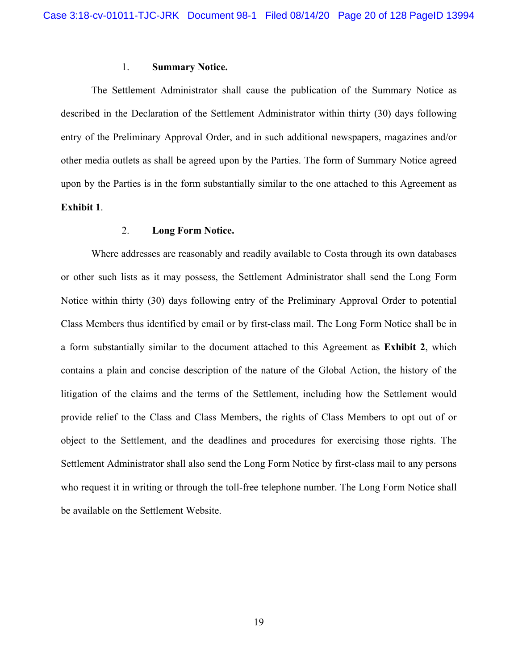# **6XBL 6C 6C 6C 6C 6C 6C 6C 6C 6C 6C 6C 6C 6C 6C 6C 6C 6C 6C 6C 6C 6C 6C 6C 6C 6C 6C 6C 6C 6C 6C 6C**

The Settlement Administrator shall cause the publication of the Summary Notice as described in the Declaration of the Settlement Administrator within thirty (30) days following entry of the Preliminary Approval Order, and in such additional newspapers, magazines and/or other media outlets as shall be agreed upon by the Parties. The form of Summary Notice agreed upon by the Parties is in the form substantially similar to the one attached to this Agreement as **Exhibit 1.** 

# 2. **Long Form Notice.**

Where addresses are reasonably and readily available to Costa through its own databases or other such lists as it may possess, the Settlement Administrator shall send the Long Form Notice within thirty (30) days following entry of the Preliminary Approval Order to potential Class Members thus identified by email or by first-class mail. The Long Form Notice shall be in a form substantially similar to the document attached to this Agreement as **Exhibit 2**, which contains a plain and concise description of the nature of the Global Action, the history of the litigation of the claims and the terms of the Settlement, including how the Settlement would provide relief to the Class and Class Members, the rights of Class Members to opt out of or object to the Settlement, and the deadlines and procedures for exercising those rights. The Settlement Administrator shall also send the Long Form Notice by first-class mail to any persons who request it in writing or through the toll-free telephone number. The Long Form Notice shall be available on the Settlement Website.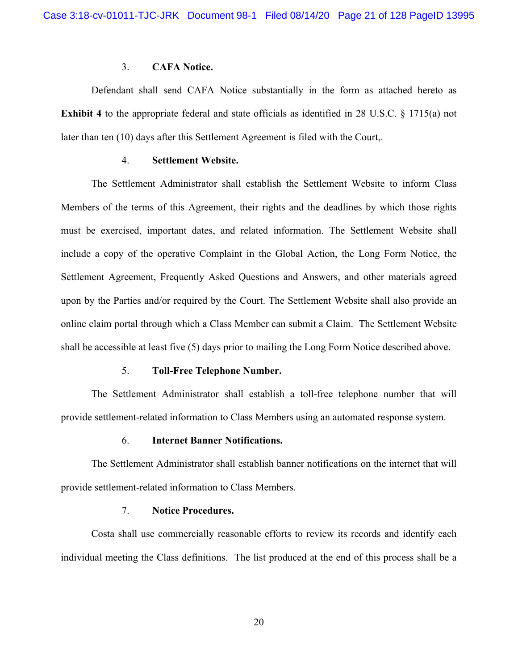### $3.$ **CAFA Notice.**

Defendant shall send CAFA Notice substantially in the form as attached hereto as **Exhibit 4** to the appropriate federal and state officials as identified in 28 U.S.C.  $\S$  1715(a) not later than ten (10) days after this Settlement Agreement is filed with the Court,.

### $\overline{4}$ . **Settlement Website.**

The Settlement Administrator shall establish the Settlement Website to inform Class Members of the terms of this Agreement, their rights and the deadlines by which those rights must be exercised, important dates, and related information. The Settlement Website shall include a copy of the operative Complaint in the Global Action, the Long Form Notice, the Settlement Agreement, Frequently Asked Questions and Answers, and other materials agreed upon by the Parties and/or required by the Court. The Settlement Website shall also provide an online claim portal through which a Class Member can submit a Claim. The Settlement Website shall be accessible at least five (5) days prior to mailing the Long Form Notice described above.

### 5. **Toll-Free Telephone Number.**

The Settlement Administrator shall establish a toll-free telephone number that will provide settlement-related information to Class Members using an automated response system.

### 6. **Internet Banner Notifications.**

The Settlement Administrator shall establish banner notifications on the internet that will provide settlement-related information to Class Members.

### $7.$ **Notice Procedures.**

Costa shall use commercially reasonable efforts to review its records and identify each individual meeting the Class definitions. The list produced at the end of this process shall be a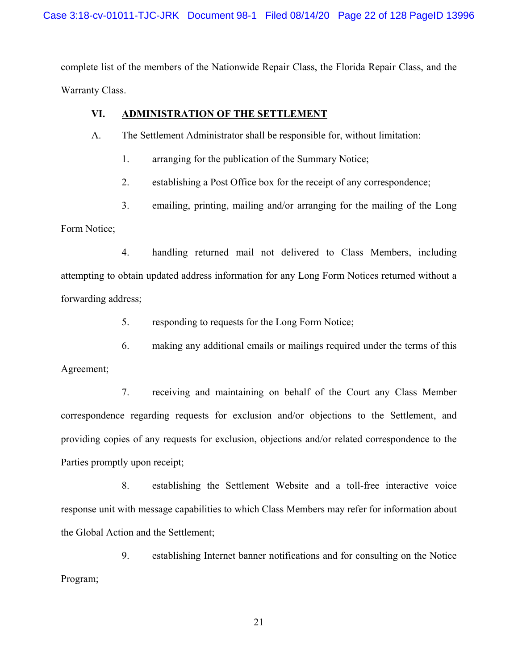complete list of the members of the Nationwide Repair Class, the Florida Repair Class, and the Warranty Class.

### VI. **ADMINISTRATION OF THE SETTLEMENT**

A. The Settlement Administrator shall be responsible for, without limitation:

1. arranging for the publication of the Summary Notice;

 $2.$ establishing a Post Office box for the receipt of any correspondence;

 $3.$ emailing, printing, mailing and/or arranging for the mailing of the Long Form Notice;

 $\overline{4}$ . handling returned mail not delivered to Class Members, including attempting to obtain updated address information for any Long Form Notices returned without a forwarding address;

> 5. responding to requests for the Long Form Notice;

6. making any additional emails or mailings required under the terms of this Agreement;

7. receiving and maintaining on behalf of the Court any Class Member correspondence regarding requests for exclusion and/or objections to the Settlement, and providing copies of any requests for exclusion, objections and/or related correspondence to the Parties promptly upon receipt;

8. establishing the Settlement Website and a toll-free interactive voice response unit with message capabilities to which Class Members may refer for information about the Global Action and the Settlement;

9. establishing Internet banner notifications and for consulting on the Notice Program;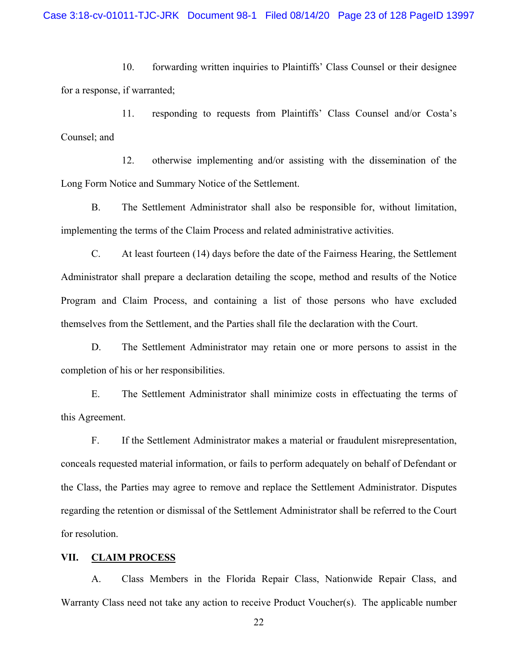$10.$ forwarding written inquiries to Plaintiffs' Class Counsel or their designee for a response, if warranted;

 $11.$ responding to requests from Plaintiffs' Class Counsel and/or Costa's Counsel; and

12. otherwise implementing and/or assisting with the dissemination of the Long Form Notice and Summary Notice of the Settlement.

**B.** The Settlement Administrator shall also be responsible for, without limitation, implementing the terms of the Claim Process and related administrative activities.

 $C_{\cdot}$ At least fourteen (14) days before the date of the Fairness Hearing, the Settlement Administrator shall prepare a declaration detailing the scope, method and results of the Notice Program and Claim Process, and containing a list of those persons who have excluded themselves from the Settlement, and the Parties shall file the declaration with the Court.

D. The Settlement Administrator may retain one or more persons to assist in the completion of his or her responsibilities.

E. The Settlement Administrator shall minimize costs in effectuating the terms of this Agreement.

 $F_{\cdot}$ If the Settlement Administrator makes a material or fraudulent misrepresentation, conceals requested material information, or fails to perform adequately on behalf of Defendant or the Class, the Parties may agree to remove and replace the Settlement Administrator. Disputes regarding the retention or dismissal of the Settlement Administrator shall be referred to the Court for resolution.

### VII. **CLAIM PROCESS**

 $A<sub>1</sub>$ Class Members in the Florida Repair Class, Nationwide Repair Class, and Warranty Class need not take any action to receive Product Voucher(s). The applicable number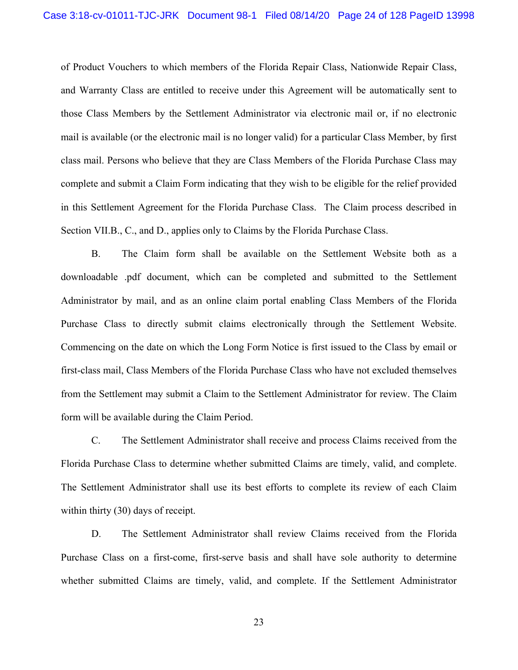of Product Vouchers to which members of the Florida Repair Class, Nationwide Repair Class, and Warranty Class are entitled to receive under this Agreement will be automatically sent to those Class Members by the Settlement Administrator via electronic mail or, if no electronic mail is available (or the electronic mail is no longer valid) for a particular Class Member, by first class mail. Persons who believe that they are Class Members of the Florida Purchase Class may complete and submit a Claim Form indicating that they wish to be eligible for the relief provided in this Settlement Agreement for the Florida Purchase Class. The Claim process described in Section VII.B., C., and D., applies only to Claims by the Florida Purchase Class.

**B.** The Claim form shall be available on the Settlement Website both as a downloadable .pdf document, which can be completed and submitted to the Settlement Administrator by mail, and as an online claim portal enabling Class Members of the Florida Purchase Class to directly submit claims electronically through the Settlement Website. Commencing on the date on which the Long Form Notice is first issued to the Class by email or first-class mail, Class Members of the Florida Purchase Class who have not excluded themselves from the Settlement may submit a Claim to the Settlement Administrator for review. The Claim form will be available during the Claim Period.

 $C_{\cdot}$ The Settlement Administrator shall receive and process Claims received from the Florida Purchase Class to determine whether submitted Claims are timely, valid, and complete. The Settlement Administrator shall use its best efforts to complete its review of each Claim within thirty (30) days of receipt.

The Settlement Administrator shall review Claims received from the Florida D. Purchase Class on a first-come, first-serve basis and shall have sole authority to determine whether submitted Claims are timely, valid, and complete. If the Settlement Administrator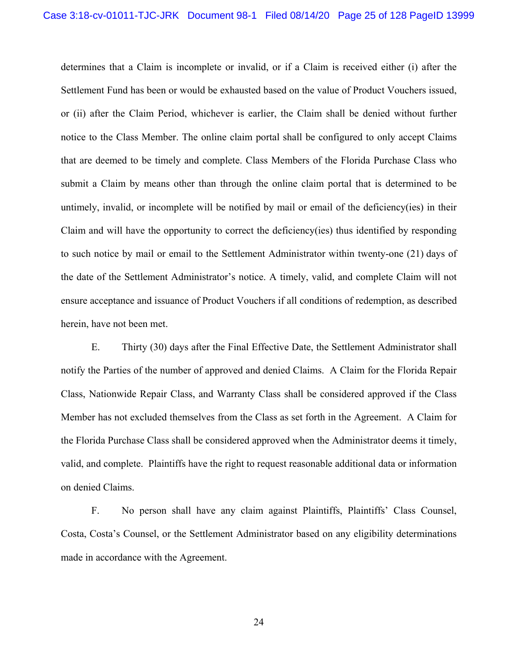determines that a Claim is incomplete or invalid, or if a Claim is received either (i) after the Settlement Fund has been or would be exhausted based on the value of Product Vouchers issued, or (ii) after the Claim Period, whichever is earlier, the Claim shall be denied without further notice to the Class Member. The online claim portal shall be configured to only accept Claims that are deemed to be timely and complete. Class Members of the Florida Purchase Class who submit a Claim by means other than through the online claim portal that is determined to be untimely, invalid, or incomplete will be notified by mail or email of the deficiency (ies) in their Claim and will have the opportunity to correct the deficiency (ies) thus identified by responding to such notice by mail or email to the Settlement Administrator within twenty-one (21) days of the date of the Settlement Administrator's notice. A timely, valid, and complete Claim will not ensure acceptance and issuance of Product Vouchers if all conditions of redemption, as described herein, have not been met.

E. Thirty (30) days after the Final Effective Date, the Settlement Administrator shall notify the Parties of the number of approved and denied Claims. A Claim for the Florida Repair Class, Nationwide Repair Class, and Warranty Class shall be considered approved if the Class Member has not excluded themselves from the Class as set forth in the Agreement. A Claim for the Florida Purchase Class shall be considered approved when the Administrator deems it timely, valid, and complete. Plaintiffs have the right to request reasonable additional data or information on denied Claims.

 $F_{\cdot}$ No person shall have any claim against Plaintiffs, Plaintiffs' Class Counsel, Costa, Costa's Counsel, or the Settlement Administrator based on any eligibility determinations made in accordance with the Agreement.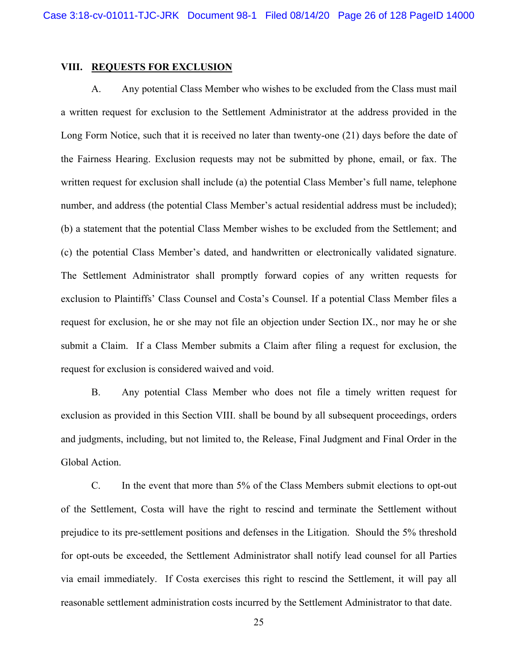# VIII. REQUESTS FOR EXCLUSION

Any potential Class Member who wishes to be excluded from the Class must mail A. a written request for exclusion to the Settlement Administrator at the address provided in the Long Form Notice, such that it is received no later than twenty-one (21) days before the date of the Fairness Hearing. Exclusion requests may not be submitted by phone, email, or fax. The written request for exclusion shall include (a) the potential Class Member's full name, telephone number, and address (the potential Class Member's actual residential address must be included); (b) a statement that the potential Class Member wishes to be excluded from the Settlement; and (c) the potential Class Member's dated, and handwritten or electronically validated signature. The Settlement Administrator shall promptly forward copies of any written requests for exclusion to Plaintiffs' Class Counsel and Costa's Counsel. If a potential Class Member files a request for exclusion, he or she may not file an objection under Section IX., nor may he or she submit a Claim. If a Class Member submits a Claim after filing a request for exclusion, the request for exclusion is considered waived and void.

Any potential Class Member who does not file a timely written request for **B.** exclusion as provided in this Section VIII. shall be bound by all subsequent proceedings, orders and judgments, including, but not limited to, the Release, Final Judgment and Final Order in the Global Action.

 $C_{\cdot}$ In the event that more than 5% of the Class Members submit elections to opt-out of the Settlement, Costa will have the right to rescind and terminate the Settlement without prejudice to its pre-settlement positions and defenses in the Litigation. Should the 5% threshold for opt-outs be exceeded, the Settlement Administrator shall notify lead counsel for all Parties via email immediately. If Costa exercises this right to rescind the Settlement, it will pay all reasonable settlement administration costs incurred by the Settlement Administrator to that date.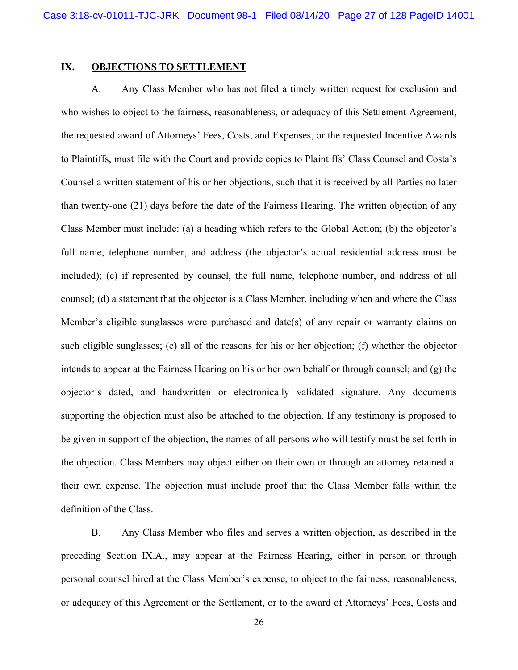### IX. **OBJECTIONS TO SETTLEMENT**

А. Any Class Member who has not filed a timely written request for exclusion and who wishes to object to the fairness, reasonableness, or adequacy of this Settlement Agreement, the requested award of Attorneys' Fees, Costs, and Expenses, or the requested Incentive Awards to Plaintiffs, must file with the Court and provide copies to Plaintiffs' Class Counsel and Costa's Counsel a written statement of his or her objections, such that it is received by all Parties no later than twenty-one (21) days before the date of the Fairness Hearing. The written objection of any Class Member must include: (a) a heading which refers to the Global Action; (b) the objector's full name, telephone number, and address (the objector's actual residential address must be included); (c) if represented by counsel, the full name, telephone number, and address of all counsel; (d) a statement that the objector is a Class Member, including when and where the Class Member's eligible sunglasses were purchased and date(s) of any repair or warranty claims on such eligible sunglasses; (e) all of the reasons for his or her objection; (f) whether the objector intends to appear at the Fairness Hearing on his or her own behalf or through counsel; and  $(g)$  the objector's dated, and handwritten or electronically validated signature. Any documents supporting the objection must also be attached to the objection. If any testimony is proposed to be given in support of the objection, the names of all persons who will testify must be set forth in the objection. Class Members may object either on their own or through an attorney retained at their own expense. The objection must include proof that the Class Member falls within the definition of the Class.

**B.** Any Class Member who files and serves a written objection, as described in the preceding Section IX.A., may appear at the Fairness Hearing, either in person or through personal counsel hired at the Class Member's expense, to object to the fairness, reasonableness, or adequacy of this Agreement or the Settlement, or to the award of Attorneys' Fees, Costs and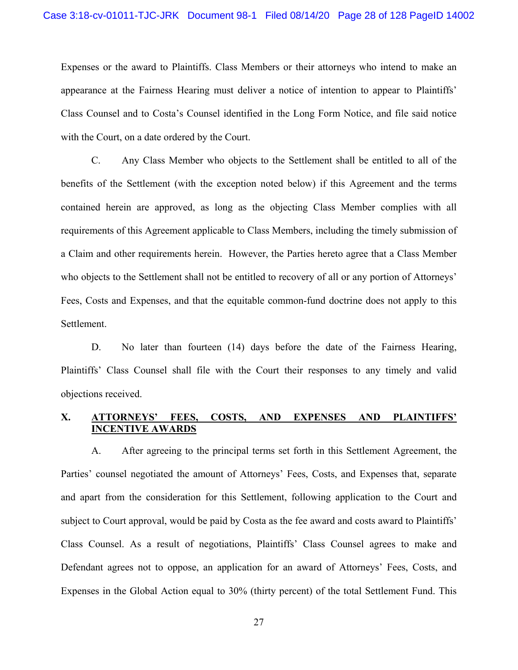Expenses or the award to Plaintiffs. Class Members or their attorneys who intend to make an appearance at the Fairness Hearing must deliver a notice of intention to appear to Plaintiffs' Class Counsel and to Costa's Counsel identified in the Long Form Notice, and file said notice with the Court, on a date ordered by the Court.

 $C_{\cdot}$ Any Class Member who objects to the Settlement shall be entitled to all of the benefits of the Settlement (with the exception noted below) if this Agreement and the terms contained herein are approved, as long as the objecting Class Member complies with all requirements of this Agreement applicable to Class Members, including the timely submission of a Claim and other requirements herein. However, the Parties hereto agree that a Class Member who objects to the Settlement shall not be entitled to recovery of all or any portion of Attorneys' Fees, Costs and Expenses, and that the equitable common-fund doctrine does not apply to this Settlement.

D. No later than fourteen (14) days before the date of the Fairness Hearing, Plaintiffs' Class Counsel shall file with the Court their responses to any timely and valid objections received.

### X. COSTS. **AND ATTORNEYS'** FEES. **EXPENSES AND PLAINTIFFS' INCENTIVE AWARDS**

A. After agreeing to the principal terms set forth in this Settlement Agreement, the Parties' counsel negotiated the amount of Attorneys' Fees, Costs, and Expenses that, separate and apart from the consideration for this Settlement, following application to the Court and subject to Court approval, would be paid by Costa as the fee award and costs award to Plaintiffs' Class Counsel. As a result of negotiations, Plaintiffs' Class Counsel agrees to make and Defendant agrees not to oppose, an application for an award of Attorneys' Fees, Costs, and Expenses in the Global Action equal to 30% (thirty percent) of the total Settlement Fund. This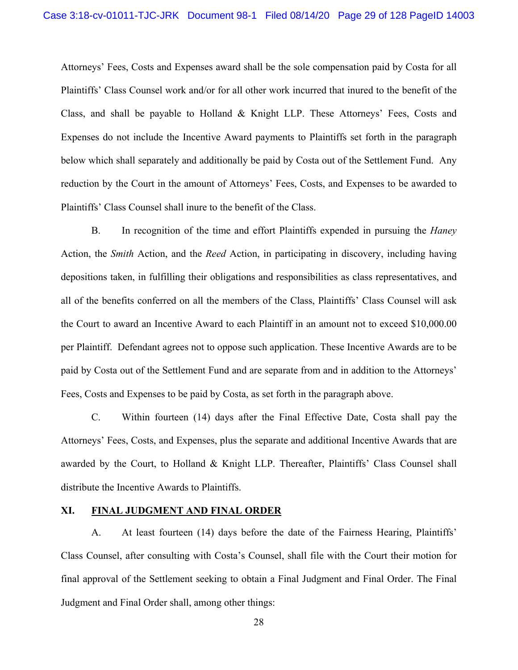Attorneys' Fees, Costs and Expenses award shall be the sole compensation paid by Costa for all Plaintiffs' Class Counsel work and/or for all other work incurred that inured to the benefit of the Class, and shall be payable to Holland & Knight LLP. These Attorneys' Fees, Costs and Expenses do not include the Incentive Award payments to Plaintiffs set forth in the paragraph below which shall separately and additionally be paid by Costa out of the Settlement Fund. Any reduction by the Court in the amount of Attorneys' Fees, Costs, and Expenses to be awarded to Plaintiffs' Class Counsel shall inure to the benefit of the Class.

In recognition of the time and effort Plaintiffs expended in pursuing the *Haney* **B.** Action, the Smith Action, and the Reed Action, in participating in discovery, including having depositions taken, in fulfilling their obligations and responsibilities as class representatives, and all of the benefits conferred on all the members of the Class, Plaintiffs' Class Counsel will ask the Court to award an Incentive Award to each Plaintiff in an amount not to exceed \$10,000.00 per Plaintiff. Defendant agrees not to oppose such application. These Incentive Awards are to be paid by Costa out of the Settlement Fund and are separate from and in addition to the Attorneys' Fees, Costs and Expenses to be paid by Costa, as set forth in the paragraph above.

 $C_{\cdot}$ Within fourteen (14) days after the Final Effective Date, Costa shall pay the Attorneys' Fees, Costs, and Expenses, plus the separate and additional Incentive Awards that are awarded by the Court, to Holland & Knight LLP. Thereafter, Plaintiffs' Class Counsel shall distribute the Incentive Awards to Plaintiffs.

### XI. FINAL JUDGMENT AND FINAL ORDER

At least fourteen (14) days before the date of the Fairness Hearing, Plaintiffs'  $A<sub>1</sub>$ Class Counsel, after consulting with Costa's Counsel, shall file with the Court their motion for final approval of the Settlement seeking to obtain a Final Judgment and Final Order. The Final Judgment and Final Order shall, among other things: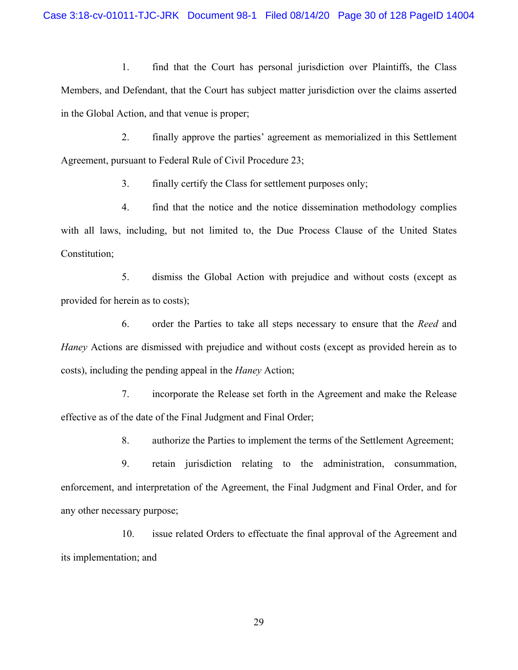1. find that the Court has personal jurisdiction over Plaintiffs, the Class Members, and Defendant, that the Court has subject matter jurisdiction over the claims asserted in the Global Action, and that venue is proper;

 $2.$ finally approve the parties' agreement as memorialized in this Settlement Agreement, pursuant to Federal Rule of Civil Procedure 23;

> $3.$ finally certify the Class for settlement purposes only;

 $\overline{4}$ . find that the notice and the notice dissemination methodology complies with all laws, including, but not limited to, the Due Process Clause of the United States Constitution;

5. dismiss the Global Action with prejudice and without costs (except as provided for herein as to costs);

6. order the Parties to take all steps necessary to ensure that the Reed and Haney Actions are dismissed with prejudice and without costs (except as provided herein as to costs), including the pending appeal in the *Haney* Action;

7. incorporate the Release set forth in the Agreement and make the Release effective as of the date of the Final Judgment and Final Order;

> 8. authorize the Parties to implement the terms of the Settlement Agreement;

9. retain jurisdiction relating to the administration, consummation, enforcement, and interpretation of the Agreement, the Final Judgment and Final Order, and for any other necessary purpose;

10. issue related Orders to effectuate the final approval of the Agreement and its implementation; and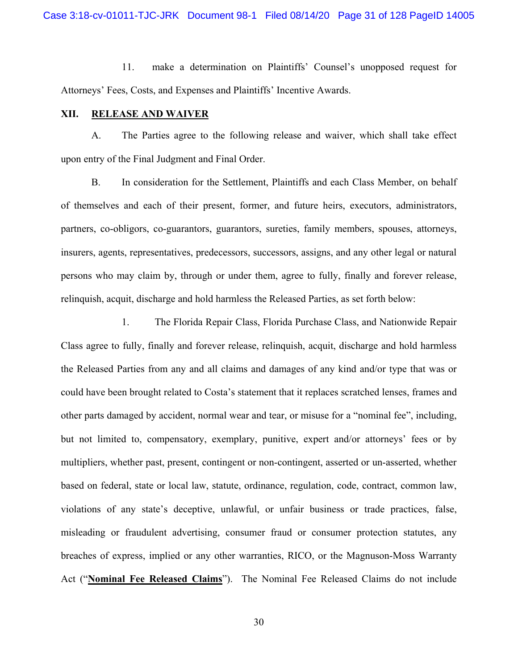$11.$ make a determination on Plaintiffs' Counsel's unopposed request for Attorneys' Fees, Costs, and Expenses and Plaintiffs' Incentive Awards.

### XII. **RELEASE AND WAIVER**

The Parties agree to the following release and waiver, which shall take effect A. upon entry of the Final Judgment and Final Order.

**B.** In consideration for the Settlement, Plaintiffs and each Class Member, on behalf of themselves and each of their present, former, and future heirs, executors, administrators, partners, co-obligors, co-guarantors, guarantors, sureties, family members, spouses, attorneys, insurers, agents, representatives, predecessors, successors, assigns, and any other legal or natural persons who may claim by, through or under them, agree to fully, finally and forever release, relinquish, acquit, discharge and hold harmless the Released Parties, as set forth below:

1. The Florida Repair Class, Florida Purchase Class, and Nationwide Repair Class agree to fully, finally and forever release, relinguish, acquit, discharge and hold harmless the Released Parties from any and all claims and damages of any kind and/or type that was or could have been brought related to Costa's statement that it replaces scratched lenses, frames and other parts damaged by accident, normal wear and tear, or misuse for a "nominal fee", including, but not limited to, compensatory, exemplary, punitive, expert and/or attorneys' fees or by multipliers, whether past, present, contingent or non-contingent, asserted or un-asserted, whether based on federal, state or local law, statute, ordinance, regulation, code, contract, common law, violations of any state's deceptive, unlawful, or unfair business or trade practices, false, misleading or fraudulent advertising, consumer fraud or consumer protection statutes, any breaches of express, implied or any other warranties, RICO, or the Magnuson-Moss Warranty Act ("Nominal Fee Released Claims"). The Nominal Fee Released Claims do not include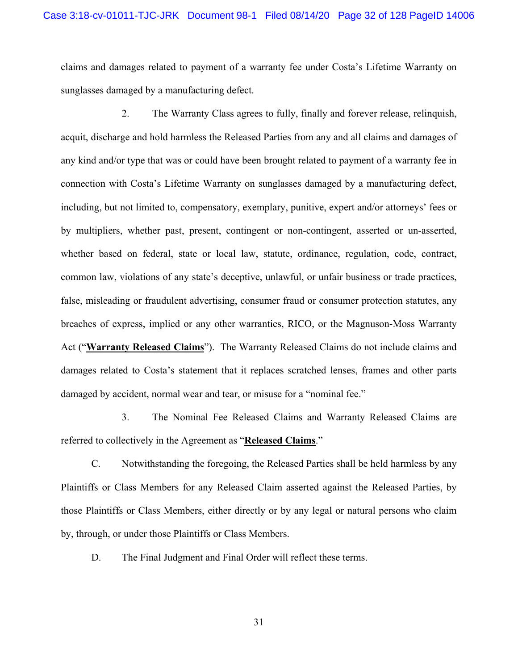claims and damages related to payment of a warranty fee under Costa's Lifetime Warranty on sunglasses damaged by a manufacturing defect.

 $2.$ The Warranty Class agrees to fully, finally and forever release, relinguish, acquit, discharge and hold harmless the Released Parties from any and all claims and damages of any kind and/or type that was or could have been brought related to payment of a warranty fee in connection with Costa's Lifetime Warranty on sunglasses damaged by a manufacturing defect, including, but not limited to, compensatory, exemplary, punitive, expert and/or attorneys' fees or by multipliers, whether past, present, contingent or non-contingent, asserted or un-asserted, whether based on federal, state or local law, statute, ordinance, regulation, code, contract, common law, violations of any state's deceptive, unlawful, or unfair business or trade practices, false, misleading or fraudulent advertising, consumer fraud or consumer protection statutes, any breaches of express, implied or any other warranties, RICO, or the Magnuson-Moss Warranty Act ("Warranty Released Claims"). The Warranty Released Claims do not include claims and damages related to Costa's statement that it replaces scratched lenses, frames and other parts damaged by accident, normal wear and tear, or misuse for a "nominal fee."

3. The Nominal Fee Released Claims and Warranty Released Claims are referred to collectively in the Agreement as "Released Claims."

 $C_{\cdot}$ Notwithstanding the foregoing, the Released Parties shall be held harmless by any Plaintiffs or Class Members for any Released Claim asserted against the Released Parties, by those Plaintiffs or Class Members, either directly or by any legal or natural persons who claim by, through, or under those Plaintiffs or Class Members.

D. The Final Judgment and Final Order will reflect these terms.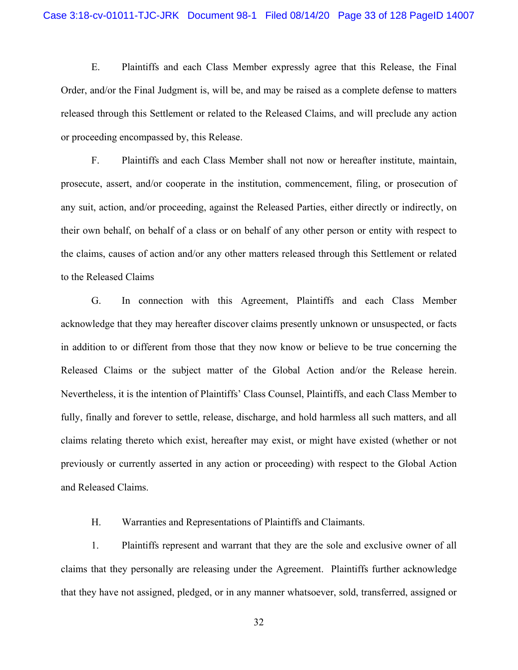E. Plaintiffs and each Class Member expressly agree that this Release, the Final Order, and/or the Final Judgment is, will be, and may be raised as a complete defense to matters released through this Settlement or related to the Released Claims, and will preclude any action or proceeding encompassed by, this Release.

F. Plaintiffs and each Class Member shall not now or hereafter institute, maintain, prosecute, assert, and/or cooperate in the institution, commencement, filing, or prosecution of any suit, action, and/or proceeding, against the Released Parties, either directly or indirectly, on their own behalf, on behalf of a class or on behalf of any other person or entity with respect to the claims, causes of action and/or any other matters released through this Settlement or related to the Released Claims

In connection with this Agreement, Plaintiffs and each Class Member G. acknowledge that they may hereafter discover claims presently unknown or unsuspected, or facts in addition to or different from those that they now know or believe to be true concerning the Released Claims or the subject matter of the Global Action and/or the Release herein. Nevertheless, it is the intention of Plaintiffs' Class Counsel, Plaintiffs, and each Class Member to fully, finally and forever to settle, release, discharge, and hold harmless all such matters, and all claims relating thereto which exist, hereafter may exist, or might have existed (whether or not previously or currently asserted in any action or proceeding) with respect to the Global Action and Released Claims.

H. Warranties and Representations of Plaintiffs and Claimants.

1. Plaintiffs represent and warrant that they are the sole and exclusive owner of all claims that they personally are releasing under the Agreement. Plaintiffs further acknowledge that they have not assigned, pledged, or in any manner whatsoever, sold, transferred, assigned or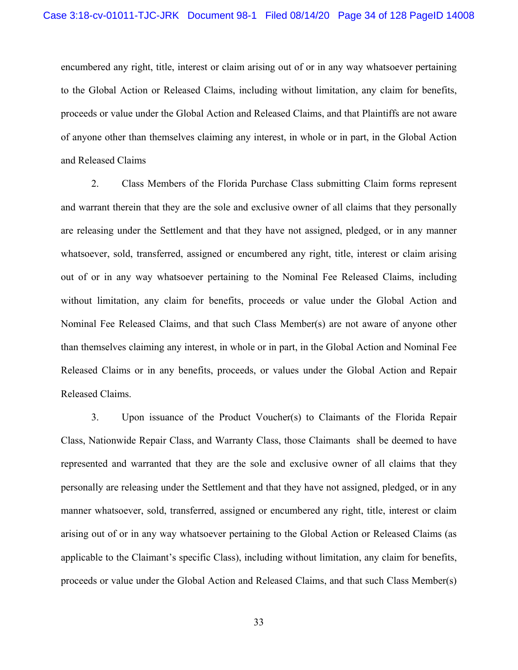encumbered any right, title, interest or claim arising out of or in any way whatsoever pertaining to the Global Action or Released Claims, including without limitation, any claim for benefits, proceeds or value under the Global Action and Released Claims, and that Plaintiffs are not aware of anyone other than themselves claiming any interest, in whole or in part, in the Global Action and Released Claims

2. Class Members of the Florida Purchase Class submitting Claim forms represent and warrant therein that they are the sole and exclusive owner of all claims that they personally are releasing under the Settlement and that they have not assigned, pledged, or in any manner whatsoever, sold, transferred, assigned or encumbered any right, title, interest or claim arising out of or in any way whatsoever pertaining to the Nominal Fee Released Claims, including without limitation, any claim for benefits, proceeds or value under the Global Action and Nominal Fee Released Claims, and that such Class Member(s) are not aware of anyone other than themselves claiming any interest, in whole or in part, in the Global Action and Nominal Fee Released Claims or in any benefits, proceeds, or values under the Global Action and Repair Released Claims.

3. Upon issuance of the Product Voucher(s) to Claimants of the Florida Repair Class, Nationwide Repair Class, and Warranty Class, those Claimants shall be deemed to have represented and warranted that they are the sole and exclusive owner of all claims that they personally are releasing under the Settlement and that they have not assigned, pledged, or in any manner whatsoever, sold, transferred, assigned or encumbered any right, title, interest or claim arising out of or in any way whatsoever pertaining to the Global Action or Released Claims (as applicable to the Claimant's specific Class), including without limitation, any claim for benefits, proceeds or value under the Global Action and Released Claims, and that such Class Member(s)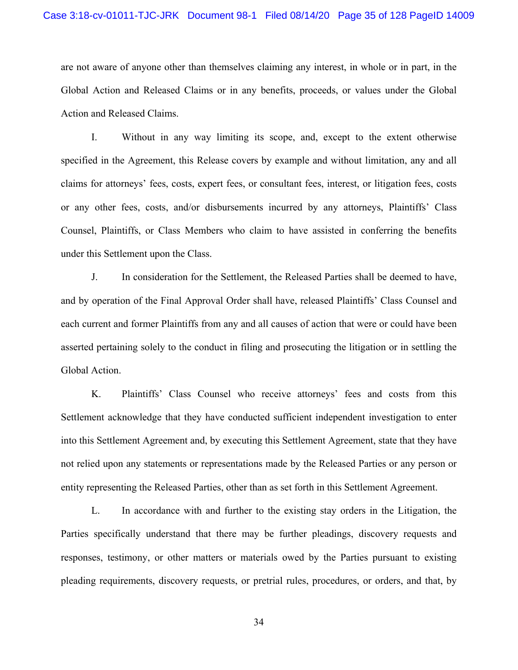are not aware of anyone other than themselves claiming any interest, in whole or in part, in the Global Action and Released Claims or in any benefits, proceeds, or values under the Global Action and Released Claims.

 $\mathbf{I}$ . Without in any way limiting its scope, and, except to the extent otherwise specified in the Agreement, this Release covers by example and without limitation, any and all claims for attorneys' fees, costs, expert fees, or consultant fees, interest, or litigation fees, costs or any other fees, costs, and/or disbursements incurred by any attorneys, Plaintiffs' Class Counsel, Plaintiffs, or Class Members who claim to have assisted in conferring the benefits under this Settlement upon the Class.

 $J<sub>z</sub>$ In consideration for the Settlement, the Released Parties shall be deemed to have, and by operation of the Final Approval Order shall have, released Plaintiffs' Class Counsel and each current and former Plaintiffs from any and all causes of action that were or could have been asserted pertaining solely to the conduct in filing and prosecuting the litigation or in settling the Global Action.

K. Plaintiffs' Class Counsel who receive attorneys' fees and costs from this Settlement acknowledge that they have conducted sufficient independent investigation to enter into this Settlement Agreement and, by executing this Settlement Agreement, state that they have not relied upon any statements or representations made by the Released Parties or any person or entity representing the Released Parties, other than as set forth in this Settlement Agreement.

L. In accordance with and further to the existing stay orders in the Litigation, the Parties specifically understand that there may be further pleadings, discovery requests and responses, testimony, or other matters or materials owed by the Parties pursuant to existing pleading requirements, discovery requests, or pretrial rules, procedures, or orders, and that, by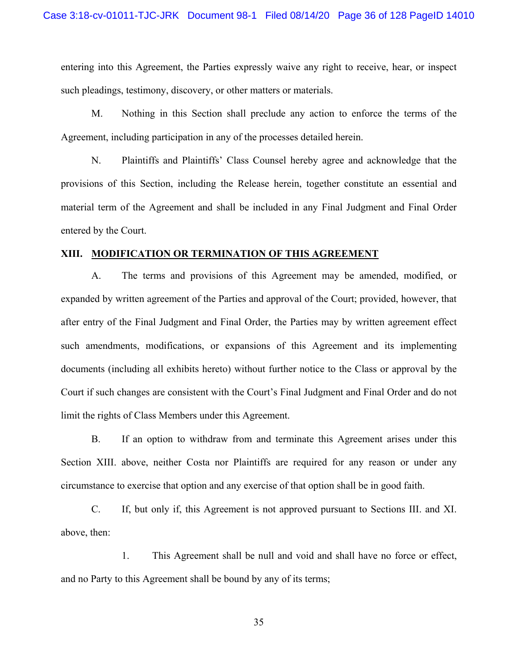entering into this Agreement, the Parties expressly waive any right to receive, hear, or inspect such pleadings, testimony, discovery, or other matters or materials.

M. Nothing in this Section shall preclude any action to enforce the terms of the Agreement, including participation in any of the processes detailed herein.

N. Plaintiffs and Plaintiffs' Class Counsel hereby agree and acknowledge that the provisions of this Section, including the Release herein, together constitute an essential and material term of the Agreement and shall be included in any Final Judgment and Final Order entered by the Court.

# XIII. MODIFICATION OR TERMINATION OF THIS AGREEMENT

A. The terms and provisions of this Agreement may be amended, modified, or expanded by written agreement of the Parties and approval of the Court; provided, however, that after entry of the Final Judgment and Final Order, the Parties may by written agreement effect such amendments, modifications, or expansions of this Agreement and its implementing documents (including all exhibits hereto) without further notice to the Class or approval by the Court if such changes are consistent with the Court's Final Judgment and Final Order and do not limit the rights of Class Members under this Agreement.

**B.** If an option to withdraw from and terminate this Agreement arises under this Section XIII. above, neither Costa nor Plaintiffs are required for any reason or under any circumstance to exercise that option and any exercise of that option shall be in good faith.

 $C_{\cdot}$ If, but only if, this Agreement is not approved pursuant to Sections III. and XI. above, then:

1. This Agreement shall be null and void and shall have no force or effect, and no Party to this Agreement shall be bound by any of its terms;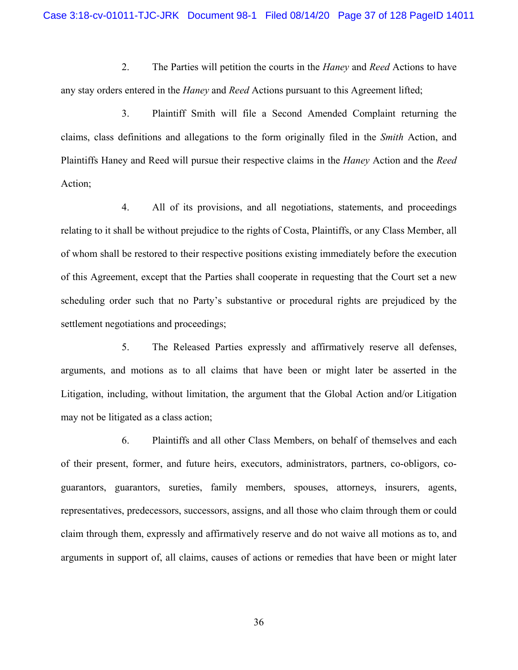$2.$ The Parties will petition the courts in the *Haney* and *Reed* Actions to have any stay orders entered in the *Haney* and *Reed* Actions pursuant to this Agreement lifted;

Plaintiff Smith will file a Second Amended Complaint returning the  $\overline{3}$ . claims, class definitions and allegations to the form originally filed in the Smith Action, and Plaintiffs Haney and Reed will pursue their respective claims in the *Haney* Action and the *Reed* Action;

 $4.$ All of its provisions, and all negotiations, statements, and proceedings relating to it shall be without prejudice to the rights of Costa, Plaintiffs, or any Class Member, all of whom shall be restored to their respective positions existing immediately before the execution of this Agreement, except that the Parties shall cooperate in requesting that the Court set a new scheduling order such that no Party's substantive or procedural rights are prejudiced by the settlement negotiations and proceedings;

5. The Released Parties expressly and affirmatively reserve all defenses, arguments, and motions as to all claims that have been or might later be asserted in the Litigation, including, without limitation, the argument that the Global Action and/or Litigation may not be litigated as a class action;

6. Plaintiffs and all other Class Members, on behalf of themselves and each of their present, former, and future heirs, executors, administrators, partners, co-obligors, coguarantors, guarantors, sureties, family members, spouses, attorneys, insurers, agents, representatives, predecessors, successors, assigns, and all those who claim through them or could claim through them, expressly and affirmatively reserve and do not waive all motions as to, and arguments in support of, all claims, causes of actions or remedies that have been or might later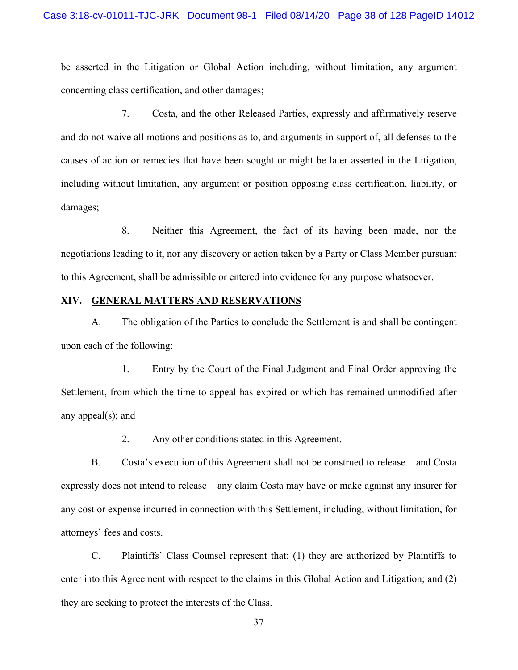be asserted in the Litigation or Global Action including, without limitation, any argument concerning class certification, and other damages;

7. Costa, and the other Released Parties, expressly and affirmatively reserve and do not waive all motions and positions as to, and arguments in support of, all defenses to the causes of action or remedies that have been sought or might be later asserted in the Litigation, including without limitation, any argument or position opposing class certification, liability, or damages;

 $\mathsf{R}$ . Neither this Agreement, the fact of its having been made, nor the negotiations leading to it, nor any discovery or action taken by a Party or Class Member pursuant to this Agreement, shall be admissible or entered into evidence for any purpose whatsoever.

# XIV. GENERAL MATTERS AND RESERVATIONS

The obligation of the Parties to conclude the Settlement is and shall be contingent  $A<sub>1</sub>$ upon each of the following:

 $1<sub>1</sub>$ Entry by the Court of the Final Judgment and Final Order approving the Settlement, from which the time to appeal has expired or which has remained unmodified after any appeal $(s)$ ; and

> $2.$ Any other conditions stated in this Agreement.

 $B<sub>r</sub>$ Costa's execution of this Agreement shall not be construed to release – and Costa expressly does not intend to release – any claim Costa may have or make against any insurer for any cost or expense incurred in connection with this Settlement, including, without limitation, for attorneys' fees and costs.

 $C_{\cdot}$ Plaintiffs' Class Counsel represent that: (1) they are authorized by Plaintiffs to enter into this Agreement with respect to the claims in this Global Action and Litigation; and (2) they are seeking to protect the interests of the Class.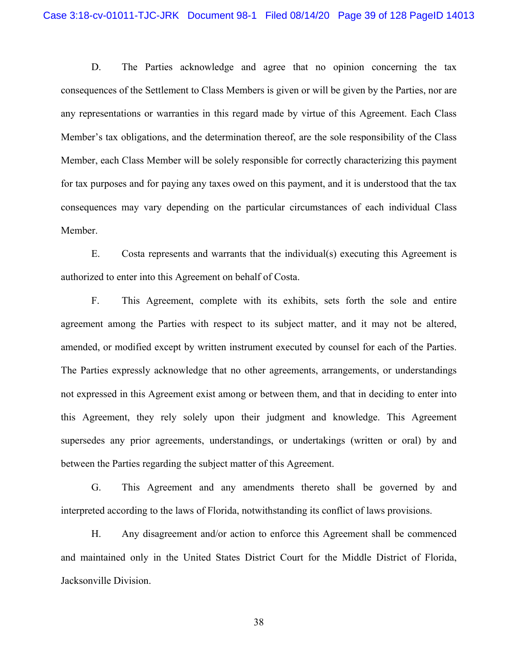D. The Parties acknowledge and agree that no opinion concerning the tax consequences of the Settlement to Class Members is given or will be given by the Parties, nor are any representations or warranties in this regard made by virtue of this Agreement. Each Class Member's tax obligations, and the determination thereof, are the sole responsibility of the Class Member, each Class Member will be solely responsible for correctly characterizing this payment for tax purposes and for paying any taxes owed on this payment, and it is understood that the tax consequences may vary depending on the particular circumstances of each individual Class Member.

E. Costa represents and warrants that the individual(s) executing this Agreement is authorized to enter into this Agreement on behalf of Costa.

This Agreement, complete with its exhibits, sets forth the sole and entire  $F_{\cdot}$ agreement among the Parties with respect to its subject matter, and it may not be altered, amended, or modified except by written instrument executed by counsel for each of the Parties. The Parties expressly acknowledge that no other agreements, arrangements, or understandings not expressed in this Agreement exist among or between them, and that in deciding to enter into this Agreement, they rely solely upon their judgment and knowledge. This Agreement supersedes any prior agreements, understandings, or undertakings (written or oral) by and between the Parties regarding the subject matter of this Agreement.

G. This Agreement and any amendments thereto shall be governed by and interpreted according to the laws of Florida, notwithstanding its conflict of laws provisions.

Н. Any disagreement and/or action to enforce this Agreement shall be commenced and maintained only in the United States District Court for the Middle District of Florida, Jacksonville Division.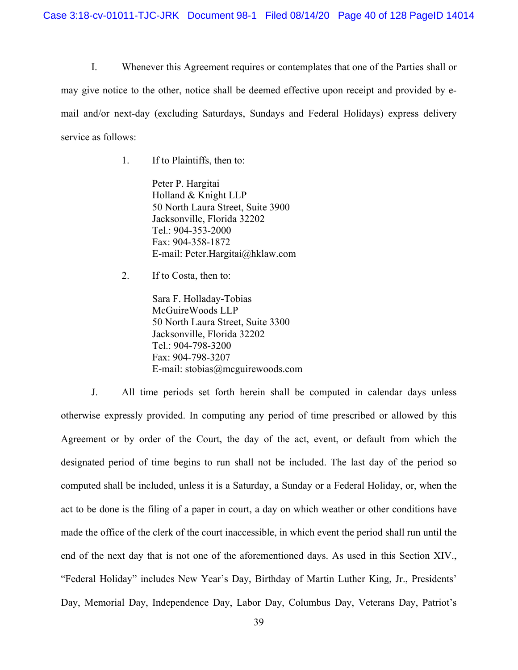$\overline{L}$ Whenever this Agreement requires or contemplates that one of the Parties shall or may give notice to the other, notice shall be deemed effective upon receipt and provided by email and/or next-day (excluding Saturdays, Sundays and Federal Holidays) express delivery service as follows:

> $1_{\cdot}$ If to Plaintiffs, then to:

> > Peter P. Hargitai Holland & Knight LLP 50 North Laura Street, Suite 3900 Jacksonville, Florida 32202 Tel.: 904-353-2000 Fax: 904-358-1872 E-mail: Peter.Hargitai@hklaw.com

2. If to Costa, then to:

> Sara F. Holladay-Tobias McGuireWoods LLP 50 North Laura Street, Suite 3300 Jacksonville, Florida 32202 Tel.: 904-798-3200 Fax: 904-798-3207 E-mail: stobias@mcguirewoods.com

 $J<sub>r</sub>$ All time periods set forth herein shall be computed in calendar days unless otherwise expressly provided. In computing any period of time prescribed or allowed by this Agreement or by order of the Court, the day of the act, event, or default from which the designated period of time begins to run shall not be included. The last day of the period so computed shall be included, unless it is a Saturday, a Sunday or a Federal Holiday, or, when the act to be done is the filing of a paper in court, a day on which weather or other conditions have made the office of the clerk of the court inaccessible, in which event the period shall run until the end of the next day that is not one of the aforementioned days. As used in this Section XIV., "Federal Holiday" includes New Year's Day, Birthday of Martin Luther King, Jr., Presidents' Day, Memorial Day, Independence Day, Labor Day, Columbus Day, Veterans Day, Patriot's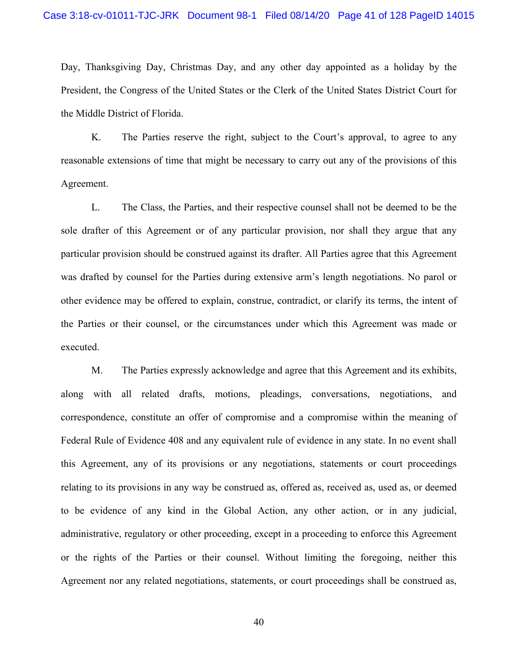Day, Thanksgiving Day, Christmas Day, and any other day appointed as a holiday by the President, the Congress of the United States or the Clerk of the United States District Court for the Middle District of Florida.

 $K_{\cdot}$ The Parties reserve the right, subject to the Court's approval, to agree to any reasonable extensions of time that might be necessary to carry out any of the provisions of this Agreement.

L. The Class, the Parties, and their respective counsel shall not be deemed to be the sole drafter of this Agreement or of any particular provision, nor shall they argue that any particular provision should be construed against its drafter. All Parties agree that this Agreement was drafted by counsel for the Parties during extensive arm's length negotiations. No parol or other evidence may be offered to explain, construe, contradict, or clarify its terms, the intent of the Parties or their counsel, or the circumstances under which this Agreement was made or executed.

M. The Parties expressly acknowledge and agree that this Agreement and its exhibits, along with all related drafts, motions, pleadings, conversations, negotiations, and correspondence, constitute an offer of compromise and a compromise within the meaning of Federal Rule of Evidence 408 and any equivalent rule of evidence in any state. In no event shall this Agreement, any of its provisions or any negotiations, statements or court proceedings relating to its provisions in any way be construed as, offered as, received as, used as, or deemed to be evidence of any kind in the Global Action, any other action, or in any judicial, administrative, regulatory or other proceeding, except in a proceeding to enforce this Agreement or the rights of the Parties or their counsel. Without limiting the foregoing, neither this Agreement nor any related negotiations, statements, or court proceedings shall be construed as,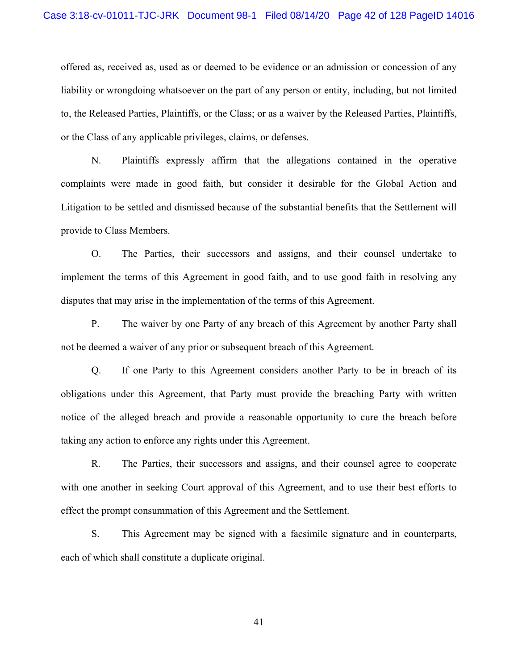offered as, received as, used as or deemed to be evidence or an admission or concession of any liability or wrongdoing whatsoever on the part of any person or entity, including, but not limited to, the Released Parties, Plaintiffs, or the Class; or as a waiver by the Released Parties, Plaintiffs, or the Class of any applicable privileges, claims, or defenses.

N. Plaintiffs expressly affirm that the allegations contained in the operative complaints were made in good faith, but consider it desirable for the Global Action and Litigation to be settled and dismissed because of the substantial benefits that the Settlement will provide to Class Members.

O. The Parties, their successors and assigns, and their counsel undertake to implement the terms of this Agreement in good faith, and to use good faith in resolving any disputes that may arise in the implementation of the terms of this Agreement.

P. The waiver by one Party of any breach of this Agreement by another Party shall not be deemed a waiver of any prior or subsequent breach of this Agreement.

Q. If one Party to this Agreement considers another Party to be in breach of its obligations under this Agreement, that Party must provide the breaching Party with written notice of the alleged breach and provide a reasonable opportunity to cure the breach before taking any action to enforce any rights under this Agreement.

 $R_{\cdot}$ The Parties, their successors and assigns, and their counsel agree to cooperate with one another in seeking Court approval of this Agreement, and to use their best efforts to effect the prompt consummation of this Agreement and the Settlement.

This Agreement may be signed with a facsimile signature and in counterparts, S. each of which shall constitute a duplicate original.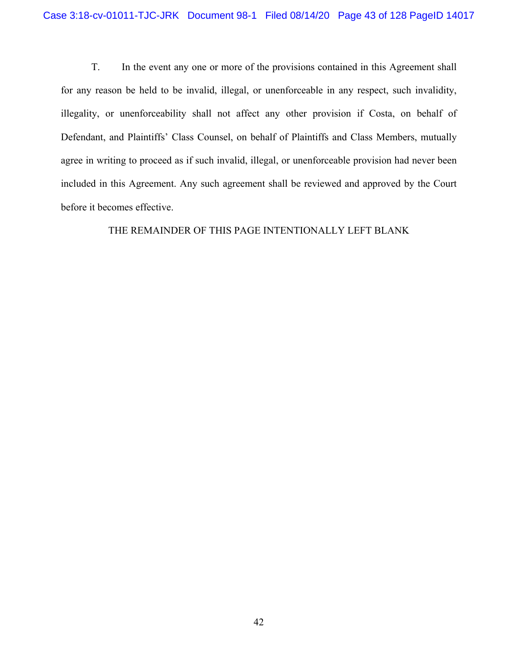T. In the event any one or more of the provisions contained in this Agreement shall for any reason be held to be invalid, illegal, or unenforceable in any respect, such invalidity, illegality, or unenforceability shall not affect any other provision if Costa, on behalf of Defendant, and Plaintiffs' Class Counsel, on behalf of Plaintiffs and Class Members, mutually agree in writing to proceed as if such invalid, illegal, or unenforceable provision had never been included in this Agreement. Any such agreement shall be reviewed and approved by the Court before it becomes effective.

# THE REMAINDER OF THIS PAGE INTENTIONALLY LEFT BLANK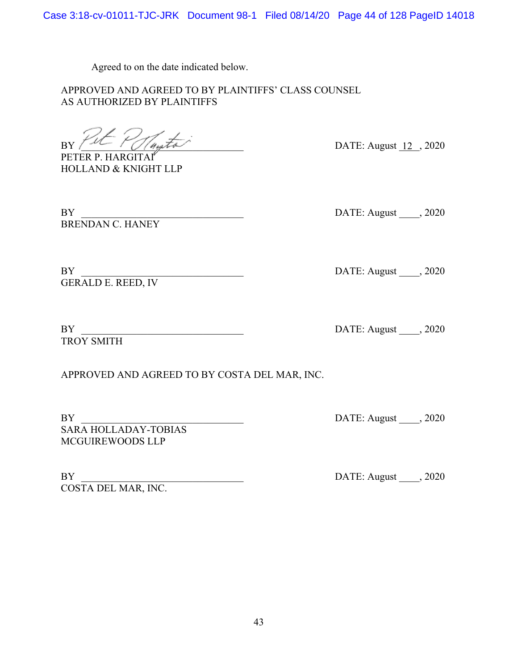Agreed to on the date indicated below.

APPROVED AND AGREED TO BY PLAINTIFFS' CLASS COUNSEL AS AUTHORIZED BY PLAINTIFFS

 $BY / 12$  /  $(4)$ 

PETER P. HARGITAI HOLLAND & KNIGHT LLP

BY DATE: August , 2020 BRENDAN C. HANEY

BY DATE: August , 2020 GERALD E. REED, IV

BY DATE: August , 2020

TROY SMITH

APPROVED AND AGREED TO BY COSTA DEL MAR, INC.

BY DATE: August , 2020 SARA HOLLADAY-TOBIAS MCGUIREWOODS LLP

BY DATE: August , 2020 COSTA DEL MAR, INC.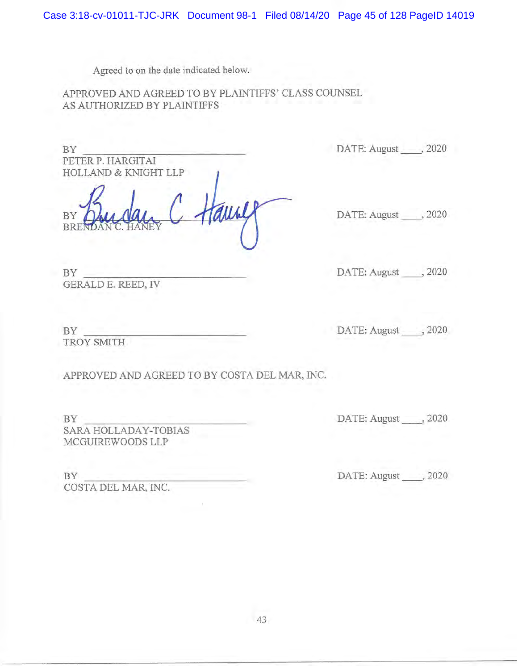Agreed to on the date indicated below.

APPROVED AND AGREED TO BY PLAINTIFFS' CLASS COUNSEL AS AUTHORIZED BY PLAINTIFFS

BY PETER P. HARGITAI HOLLAND & KNIGHT LLP DATE: August , 2020

BY **BRE** 

DATE: August \_\_\_\_\_, 2020

BY GERALD E. REED, IV DATE: August , 2020

BY TROY SMITH DATE: August, 2020

APPROVED AND AGREED TO BY COSTA DEL MAR, INC.

BY NO.

SARA HOLLADAY-TOBIAS MCGUIREWOODS LLP

DATE: August \_\_\_\_\_, 2020

BY COSTA DEL MAR, INC. DATE: August , 2020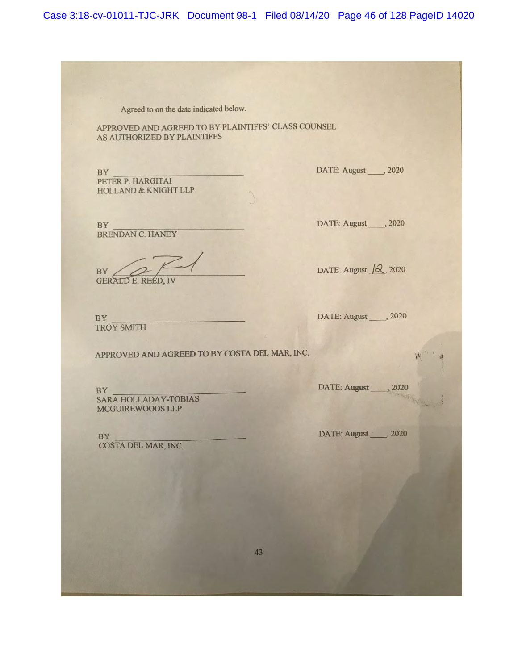Case 3:18-cv-01011-TJC-JRK Document 98-1 Filed 08/14/20 Page 46 of 128 PageID 14020

Agreed to on the date indicated below.

APPROVED AND AGREED TO BY PLAINTIFFS' CLASS COUNSEL AS AUTHORIZED BY PLAINTIFFS

BY PETER P. HARGITAI **HOLLAND & KNIGHT LLP**  DATE: August \_\_\_\_\_, 2020

BY **BRENDAN C. HANEY** 

BY **GERALD E. REÉD, IV** 

**BY TROY SMITH** 

APPROVED AND AGREED TO BY COSTA DEL MAR, INC.

BY **SARA HOLLADAY-TOBIAS** MCGUIREWOODS LLP

BY COSTA DEL MAR, INC. DATE: August \_\_\_\_, 2020

DATE: August 2, 2020

DATE: August \_\_\_\_\_, 2020

DATE: August 2020

DATE: August , 2020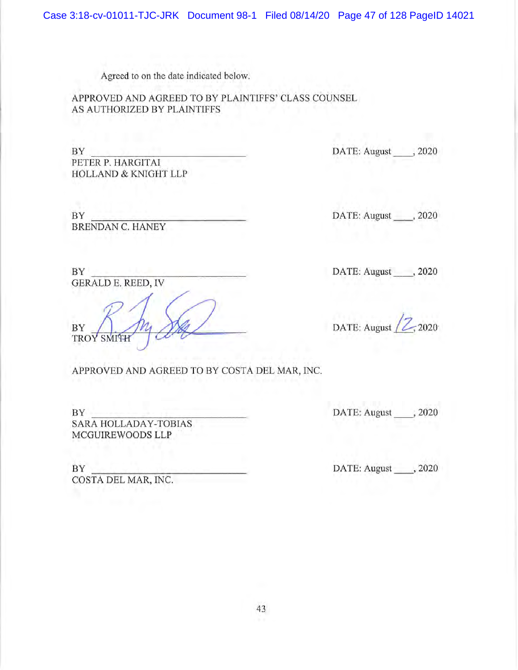Case 3:18-cv-01011-TJC-JRK Document 98-1 Filed 08/14/20 Page 47 of 128 PageID 14021

Agreed to on the date indicated below.

APPROVED AND AGREED TO BY PLAINTIFFS' CLASS COUNSEL AS AUTHORIZED BY PLAINTIFFS

BY N PETER P. HARGITAI **HOLLAND & KNIGHT LLP** 

BY **BRENDAN C. HANEY**  DATE: August , 2020

DATE: August , 2020

DATE: August , 2020

DATE: August 2, 2020

**BY GERALD E. REED, IV** 

BY **TROY SMITH** 

APPROVED AND AGREED TO BY COSTA DEL MAR, INC.

DATE: August , 2020

BY SARA HOLLADAY-TOBIAS MCGUIREWOODS LLP

BY COSTA DEL MAR, INC.

DATE: August , 2020